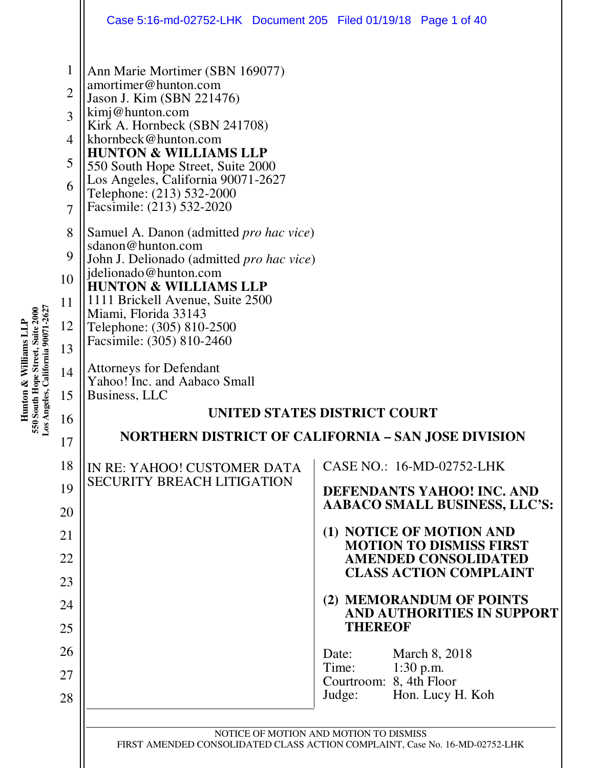|                                                                                  | Case 5:16-md-02752-LHK  Document 205  Filed 01/19/18  Page 1 of 40                                                                                                                                                                                                                                                                                                                                                                                             |                                                              |  |  |  |  |
|----------------------------------------------------------------------------------|----------------------------------------------------------------------------------------------------------------------------------------------------------------------------------------------------------------------------------------------------------------------------------------------------------------------------------------------------------------------------------------------------------------------------------------------------------------|--------------------------------------------------------------|--|--|--|--|
| 1<br>$\overline{2}$<br>3<br>$\overline{4}$<br>5<br>6<br>$\overline{7}$<br>8<br>9 | Ann Marie Mortimer (SBN 169077)<br>amortimer@hunton.com<br>Jason J. Kim (SBN 221476)<br>kimj@hunton.com<br>Kirk A. Hornbeck (SBN 241708)<br>khornbeck@hunton.com<br><b>HUNTON &amp; WILLIAMS LLP</b><br>550 South Hope Street, Suite 2000<br>Los Angeles, California 90071-2627<br>Telephone: (213) 532-2000<br>Facsimile: (213) 532-2020<br>Samuel A. Danon (admitted <i>pro hac vice</i> )<br>sdanon@hunton.com<br>John J. Delionado (admitted pro hac vice) |                                                              |  |  |  |  |
| 10                                                                               | jdelionado@hunton.com                                                                                                                                                                                                                                                                                                                                                                                                                                          |                                                              |  |  |  |  |
| 11                                                                               | <b>HUNTON &amp; WILLIAMS LLP</b><br>1111 Brickell Avenue, Suite 2500                                                                                                                                                                                                                                                                                                                                                                                           |                                                              |  |  |  |  |
| 12                                                                               | Miami, Florida 33143<br>Telephone: (305) 810-2500                                                                                                                                                                                                                                                                                                                                                                                                              |                                                              |  |  |  |  |
| 13                                                                               | Facsimile: (305) 810-2460                                                                                                                                                                                                                                                                                                                                                                                                                                      |                                                              |  |  |  |  |
| 14<br>15                                                                         | <b>Attorneys for Defendant</b><br>Yahoo! Inc. and Aabaco Small<br>Business, LLC                                                                                                                                                                                                                                                                                                                                                                                |                                                              |  |  |  |  |
| 16                                                                               | UNITED STATES DISTRICT COURT                                                                                                                                                                                                                                                                                                                                                                                                                                   |                                                              |  |  |  |  |
| 17                                                                               |                                                                                                                                                                                                                                                                                                                                                                                                                                                                | <b>NORTHERN DISTRICT OF CALIFORNIA - SAN JOSE DIVISION</b>   |  |  |  |  |
| 18                                                                               | IN RE: YAHOO! CUSTOMER DATA                                                                                                                                                                                                                                                                                                                                                                                                                                    | CASE NO.: 16-MD-02752-LHK                                    |  |  |  |  |
| 19                                                                               | <b>SECURITY BREACH LITIGATION</b>                                                                                                                                                                                                                                                                                                                                                                                                                              | DEFENDANTS YAHOO! INC. AND                                   |  |  |  |  |
| 20                                                                               |                                                                                                                                                                                                                                                                                                                                                                                                                                                                | <b>AABACO SMALL BUSINESS, LLC'S:</b>                         |  |  |  |  |
| 21                                                                               |                                                                                                                                                                                                                                                                                                                                                                                                                                                                | (1) NOTICE OF MOTION AND<br><b>MOTION TO DISMISS FIRST</b>   |  |  |  |  |
| 22                                                                               |                                                                                                                                                                                                                                                                                                                                                                                                                                                                | <b>AMENDED CONSOLIDATED</b><br><b>CLASS ACTION COMPLAINT</b> |  |  |  |  |
| 23                                                                               |                                                                                                                                                                                                                                                                                                                                                                                                                                                                | (2) MEMORANDUM OF POINTS                                     |  |  |  |  |
| 24<br>25                                                                         |                                                                                                                                                                                                                                                                                                                                                                                                                                                                | AND AUTHORITIES IN SUPPORT<br><b>THEREOF</b>                 |  |  |  |  |
| 26                                                                               |                                                                                                                                                                                                                                                                                                                                                                                                                                                                | Date:                                                        |  |  |  |  |
| 27                                                                               |                                                                                                                                                                                                                                                                                                                                                                                                                                                                | March 8, 2018<br>$1:30$ p.m.<br>Time:                        |  |  |  |  |
| 28                                                                               |                                                                                                                                                                                                                                                                                                                                                                                                                                                                | Courtroom: 8, 4th Floor<br>Hon. Lucy H. Koh<br>Judge:        |  |  |  |  |
|                                                                                  |                                                                                                                                                                                                                                                                                                                                                                                                                                                                | NOTICE OF MOTION AND MOTION TO DISMISS                       |  |  |  |  |

 $\mathop{||}$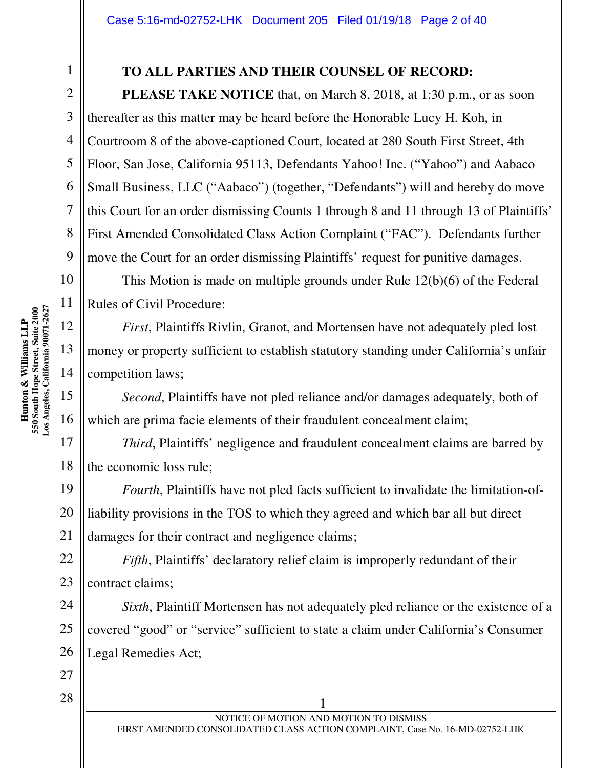#### **TO ALL PARTIES AND THEIR COUNSEL OF RECORD:**

**PLEASE TAKE NOTICE** that, on March 8, 2018, at 1:30 p.m., or as soon thereafter as this matter may be heard before the Honorable Lucy H. Koh, in Courtroom 8 of the above-captioned Court, located at 280 South First Street, 4th Floor, San Jose, California 95113, Defendants Yahoo! Inc. ("Yahoo") and Aabaco Small Business, LLC ("Aabaco") (together, "Defendants") will and hereby do move this Court for an order dismissing Counts 1 through 8 and 11 through 13 of Plaintiffs' First Amended Consolidated Class Action Complaint ("FAC"). Defendants further move the Court for an order dismissing Plaintiffs' request for punitive damages.

This Motion is made on multiple grounds under Rule 12(b)(6) of the Federal Rules of Civil Procedure:

*First*, Plaintiffs Rivlin, Granot, and Mortensen have not adequately pled lost money or property sufficient to establish statutory standing under California's unfair competition laws;

*Second*, Plaintiffs have not pled reliance and/or damages adequately, both of which are prima facie elements of their fraudulent concealment claim;

*Third*, Plaintiffs' negligence and fraudulent concealment claims are barred by the economic loss rule;

19 *Fourth*, Plaintiffs have not pled facts sufficient to invalidate the limitation-ofliability provisions in the TOS to which they agreed and which bar all but direct damages for their contract and negligence claims;

*Fifth*, Plaintiffs' declaratory relief claim is improperly redundant of their contract claims;

*Sixth*, Plaintiff Mortensen has not adequately pled reliance or the existence of a covered "good" or "service" sufficient to state a claim under California's Consumer Legal Remedies Act;

1

2

3

4

5

6

7

8

9

10

11

12

13

14

15

16

17

18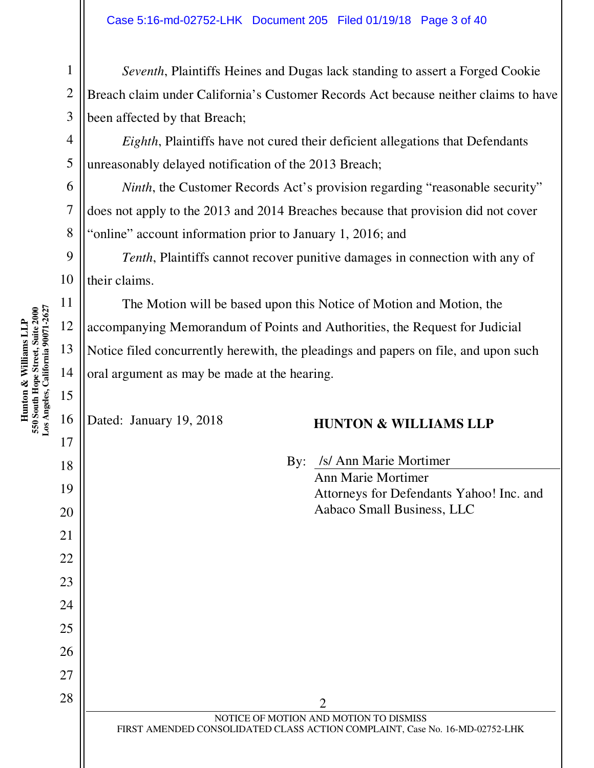*Seventh*, Plaintiffs Heines and Dugas lack standing to assert a Forged Cookie Breach claim under California's Customer Records Act because neither claims to have been affected by that Breach;

*Eighth*, Plaintiffs have not cured their deficient allegations that Defendants unreasonably delayed notification of the 2013 Breach;

*Ninth*, the Customer Records Act's provision regarding "reasonable security" does not apply to the 2013 and 2014 Breaches because that provision did not cover "online" account information prior to January 1, 2016; and

*Tenth*, Plaintiffs cannot recover punitive damages in connection with any of their claims.

The Motion will be based upon this Notice of Motion and Motion, the accompanying Memorandum of Points and Authorities, the Request for Judicial Notice filed concurrently herewith, the pleadings and papers on file, and upon such oral argument as may be made at the hearing.

#### Dated: January 19, 2018 **HUNTON & WILLIAMS LLP**

By: /s/ Ann Marie Mortimer Ann Marie Mortimer Attorneys for Defendants Yahoo! Inc. and Aabaco Small Business, LLC

**Hunton & Williams LLP** 

19

20

21

22

1

2

3

4

5

6

7

8

| 23 |                                                                             |
|----|-----------------------------------------------------------------------------|
| 24 |                                                                             |
| 25 |                                                                             |
| 26 |                                                                             |
| 27 |                                                                             |
| 28 | $\mathcal{D}$                                                               |
|    | NOTICE OF MOTION AND MOTION TO DISMISS                                      |
|    | FIRST AMENDED CONSOLIDATED CLASS ACTION COMPLAINT, Case No. 16-MD-02752-LHK |
|    |                                                                             |
|    |                                                                             |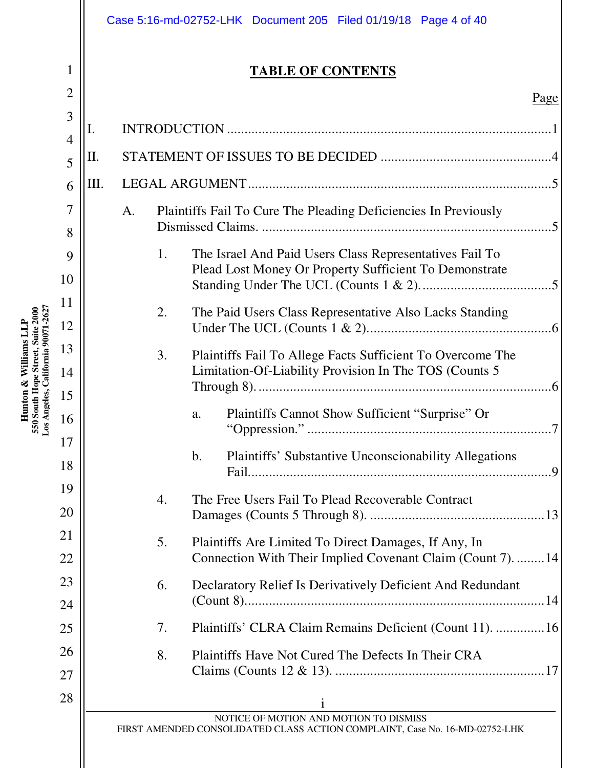1

2

**Hunton & Williams LLP 550 South Hope Street, Suite 2000 Los Angeles, California 90071-2627** 

Hunton & Williams LLP<br>550 South Hope Street, Suite 2000<br>Los Angeles, California 90071-2627

#### **TABLE OF CONTENTS**

| 3      | I. |                                                                                     |
|--------|----|-------------------------------------------------------------------------------------|
| 4<br>5 | П. |                                                                                     |
| 6      | Ш. |                                                                                     |
|        |    |                                                                                     |
| 7      |    | Plaintiffs Fail To Cure The Pleading Deficiencies In Previously<br>A.<br>$\sqrt{5}$ |
| 8      |    |                                                                                     |
| 9      |    | The Israel And Paid Users Class Representatives Fail To<br>1.                       |
| 10     |    | Plead Lost Money Or Property Sufficient To Demonstrate                              |
| 11     |    |                                                                                     |
| 12     |    | The Paid Users Class Representative Also Lacks Standing<br>2.                       |
| 13     |    | 3.<br>Plaintiffs Fail To Allege Facts Sufficient To Overcome The                    |
| 14     |    | Limitation-Of-Liability Provision In The TOS (Counts 5                              |
| 15     |    |                                                                                     |
| 16     |    | Plaintiffs Cannot Show Sufficient "Surprise" Or<br>a.                               |
| 17     |    |                                                                                     |
| 18     |    | $\mathbf b$ .<br>Plaintiffs' Substantive Unconscionability Allegations<br>-9        |
| 19     |    | The Free Users Fail To Plead Recoverable Contract<br>4.                             |
| 20     |    |                                                                                     |
| 21     |    | Plaintiffs Are Limited To Direct Damages, If Any, In<br>5.                          |
| 22     |    | Connection With Their Implied Covenant Claim (Count 7). 14                          |
| 23     |    | Declaratory Relief Is Derivatively Deficient And Redundant<br>6.                    |
| 24     |    |                                                                                     |
| 25     |    | Plaintiffs' CLRA Claim Remains Deficient (Count 11).  16<br>7.                      |
| 26     |    | Plaintiffs Have Not Cured The Defects In Their CRA<br>8.                            |
| 27     |    |                                                                                     |
| 28     |    |                                                                                     |
|        |    | NOTICE OF MOTION AND MOTION TO DISMISS                                              |
|        |    | FIRST AMENDED CONSOLIDATED CLASS ACTION COMPLAINT, Case No. 16-MD-02752-LHK         |
|        |    |                                                                                     |
|        |    |                                                                                     |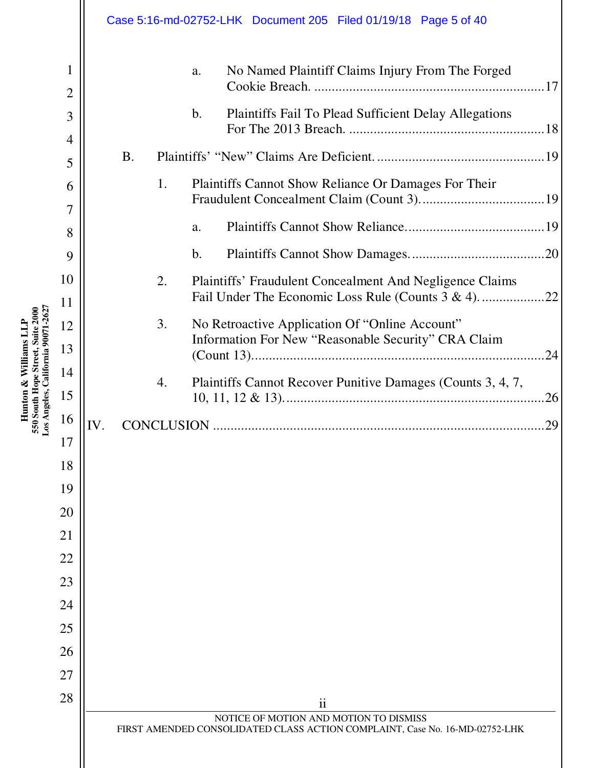|                                                                                                 |          |           |    |                | Case 5:16-md-02752-LHK  Document 205  Filed 01/19/18  Page 5 of 40                                                    |
|-------------------------------------------------------------------------------------------------|----------|-----------|----|----------------|-----------------------------------------------------------------------------------------------------------------------|
|                                                                                                 | 1<br>2   |           |    | a.             | No Named Plaintiff Claims Injury From The Forged                                                                      |
|                                                                                                 | 3        |           |    | $\mathbf b$ .  | <b>Plaintiffs Fail To Plead Sufficient Delay Allegations</b>                                                          |
|                                                                                                 | 4        |           |    |                |                                                                                                                       |
|                                                                                                 | 5        | <b>B.</b> |    |                |                                                                                                                       |
|                                                                                                 | 6        |           | 1. |                | Plaintiffs Cannot Show Reliance Or Damages For Their                                                                  |
|                                                                                                 | 7        |           |    |                |                                                                                                                       |
|                                                                                                 | 8        |           |    | a.             |                                                                                                                       |
|                                                                                                 | 9        |           |    | $\mathbf{b}$ . |                                                                                                                       |
|                                                                                                 | 10       |           | 2. |                | Plaintiffs' Fraudulent Concealment And Negligence Claims                                                              |
|                                                                                                 | 11       |           |    |                | Fail Under The Economic Loss Rule (Counts 3 & 4)<br>22                                                                |
|                                                                                                 | 12       |           | 3. |                | No Retroactive Application Of "Online Account"<br>Information For New "Reasonable Security" CRA Claim                 |
|                                                                                                 | 13       |           |    |                | 24                                                                                                                    |
| 550 South Hope Street, Suite 2000<br>os Angeles, California 90071-262<br>Hunton & Williams L.LP | 14       |           | 4. |                | Plaintiffs Cannot Recover Punitive Damages (Counts 3, 4, 7,                                                           |
|                                                                                                 | 15       |           |    |                | 26                                                                                                                    |
|                                                                                                 | 16       | IV.       |    |                | 29                                                                                                                    |
|                                                                                                 | 17       |           |    |                |                                                                                                                       |
|                                                                                                 | 18       |           |    |                |                                                                                                                       |
|                                                                                                 | 19       |           |    |                |                                                                                                                       |
|                                                                                                 | 20       |           |    |                |                                                                                                                       |
|                                                                                                 | 21<br>22 |           |    |                |                                                                                                                       |
|                                                                                                 | 23       |           |    |                |                                                                                                                       |
|                                                                                                 | 24       |           |    |                |                                                                                                                       |
|                                                                                                 | 25       |           |    |                |                                                                                                                       |
|                                                                                                 | 26       |           |    |                |                                                                                                                       |
|                                                                                                 | 27       |           |    |                |                                                                                                                       |
|                                                                                                 | 28       |           |    |                | $\mathbf{ii}$                                                                                                         |
|                                                                                                 |          |           |    |                | NOTICE OF MOTION AND MOTION TO DISMISS<br>FIRST AMENDED CONSOLIDATED CLASS ACTION COMPLAINT, Case No. 16-MD-02752-LHK |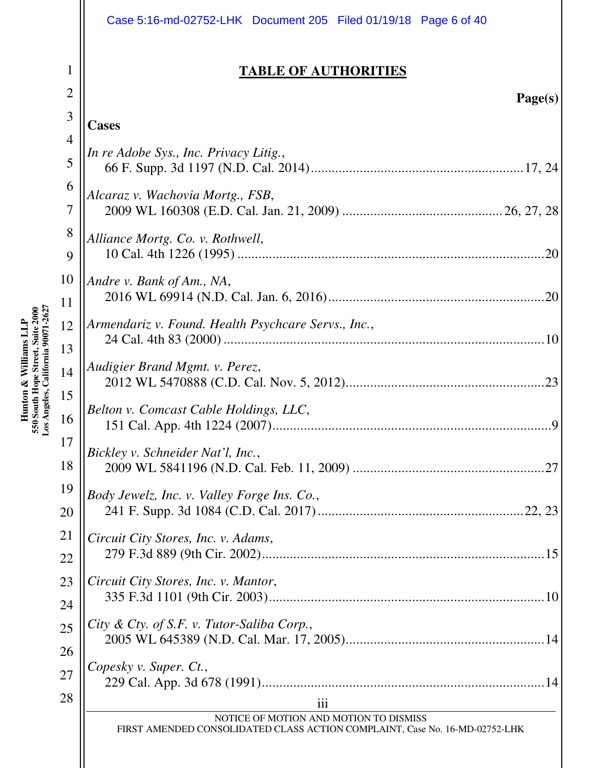|                     | Case 5:16-md-02752-LHK  Document 205  Filed 01/19/18  Page 6 of 40                                                    |
|---------------------|-----------------------------------------------------------------------------------------------------------------------|
| 1                   | <u>TABLE OF AUTHORITIES</u>                                                                                           |
| $\overline{2}$<br>3 | Page(s)                                                                                                               |
| $\overline{4}$      | <b>Cases</b>                                                                                                          |
| 5                   | In re Adobe Sys., Inc. Privacy Litig.,                                                                                |
| 6<br>$\overline{7}$ | Alcaraz v. Wachovia Mortg., FSB,                                                                                      |
| 8<br>9              | Alliance Mortg. Co. v. Rothwell,<br>.20                                                                               |
| 10                  | Andre v. Bank of Am., NA,                                                                                             |
| 11                  |                                                                                                                       |
| 12                  | Armendariz v. Found. Health Psychcare Servs., Inc.,                                                                   |
| 13<br>14            | Audigier Brand Mgmt. v. Perez,                                                                                        |
| 15<br>16            | Belton v. Comcast Cable Holdings, LLC,<br>9                                                                           |
| 17<br>18            | Bickley v. Schneider Nat'l, Inc.,<br>27                                                                               |
| 19<br>20            | Body Jewelz, Inc. v. Valley Forge Ins. Co.,                                                                           |
| 21<br>22            | Circuit City Stores, Inc. v. Adams,                                                                                   |
| 23<br>24            | Circuit City Stores, Inc. v. Mantor,                                                                                  |
| 25                  | City & Cty. of S.F. v. Tutor-Saliba Corp.,                                                                            |
| 26<br>27            | Copesky v. Super. Ct.,                                                                                                |
| 28                  | iii                                                                                                                   |
|                     | NOTICE OF MOTION AND MOTION TO DISMISS<br>FIRST AMENDED CONSOLIDATED CLASS ACTION COMPLAINT, Case No. 16-MD-02752-LHK |
|                     |                                                                                                                       |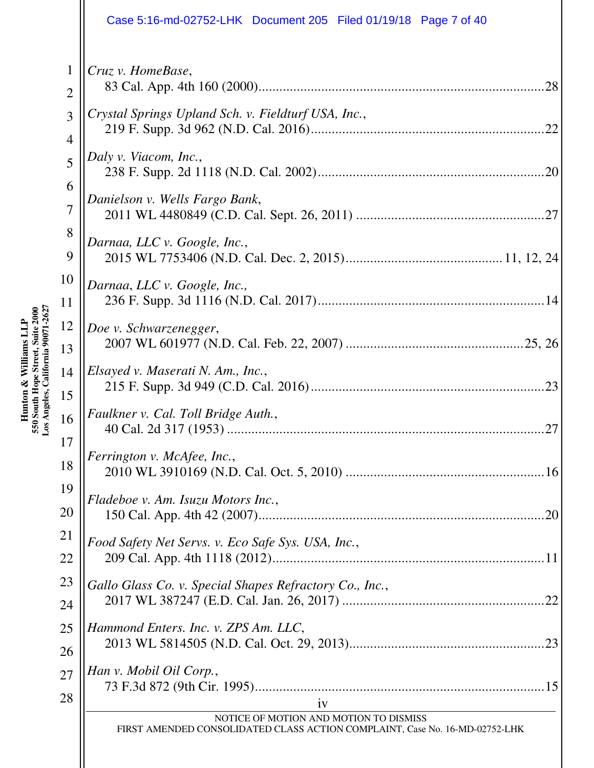|                                | Case 5:16-md-02752-LHK  Document 205  Filed 01/19/18  Page 7 of 40                                                          |
|--------------------------------|-----------------------------------------------------------------------------------------------------------------------------|
| $\mathbf{1}$<br>$\overline{2}$ | Cruz v. HomeBase,<br>.28                                                                                                    |
| 3<br>4                         | Crystal Springs Upland Sch. v. Fieldturf USA, Inc.,<br>22                                                                   |
| 5                              | Daly v. Viacom, Inc.,<br>.20                                                                                                |
| 6<br>$\overline{7}$            | Danielson v. Wells Fargo Bank,<br>27                                                                                        |
| 8<br>9                         | Darnaa, LLC v. Google, Inc.,                                                                                                |
| 10<br>11                       | Darnaa, LLC v. Google, Inc.,                                                                                                |
| 12<br>13                       | Doe v. Schwarzenegger,                                                                                                      |
| 14<br>15                       | Elsayed v. Maserati N. Am., Inc.,<br>.23                                                                                    |
| 16                             | Faulkner v. Cal. Toll Bridge Auth.,<br>27                                                                                   |
| 17<br>18                       | Ferrington v. McAfee, Inc.,                                                                                                 |
| 19<br>20                       | Fladeboe v. Am. Isuzu Motors Inc.,<br>.20                                                                                   |
| 21<br>22                       | Food Safety Net Servs. v. Eco Safe Sys. USA, Inc.,                                                                          |
| 23<br>24                       | Gallo Glass Co. v. Special Shapes Refractory Co., Inc.,                                                                     |
| 25                             | Hammond Enters. Inc. v. ZPS Am. LLC,                                                                                        |
| 26<br>27                       | Han v. Mobil Oil Corp.,                                                                                                     |
| 28                             | iv<br>NOTICE OF MOTION AND MOTION TO DISMISS<br>FIRST AMENDED CONSOLIDATED CLASS ACTION COMPLAINT, Case No. 16-MD-02752-LHK |
|                                |                                                                                                                             |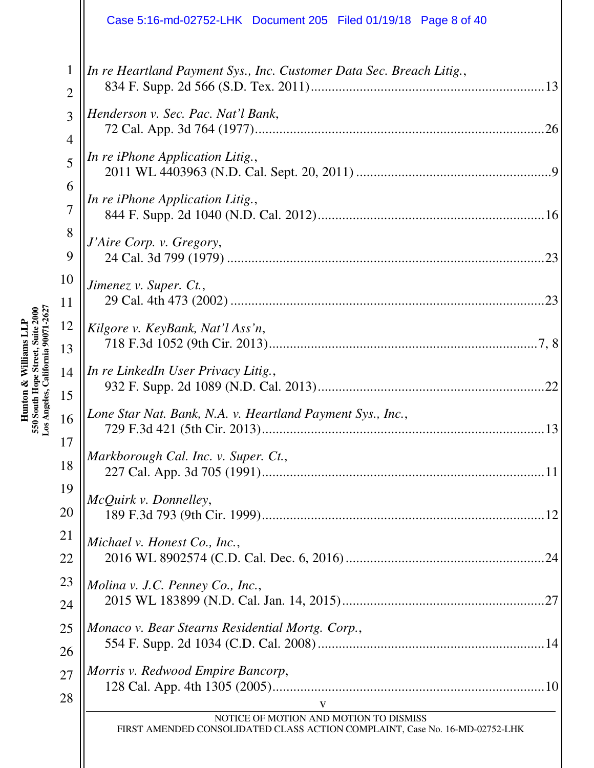|                     | Case 5:16-md-02752-LHK Document 205 Filed 01/19/18 Page 8 of 40                                                       |
|---------------------|-----------------------------------------------------------------------------------------------------------------------|
| 1<br>$\overline{2}$ | In re Heartland Payment Sys., Inc. Customer Data Sec. Breach Litig.,                                                  |
| 3<br>$\overline{4}$ | Henderson v. Sec. Pac. Nat'l Bank,<br>26                                                                              |
| 5                   | <i>In re iPhone Application Litig.,</i>                                                                               |
| 6<br>$\overline{7}$ | In re iPhone Application Litig.,                                                                                      |
| 8<br>9              | J'Aire Corp. v. Gregory,<br>.23                                                                                       |
| 10<br>11            | Jimenez v. Super. Ct.,<br>.23                                                                                         |
| 12<br>13            | Kilgore v. KeyBank, Nat'l Ass'n,                                                                                      |
| 14<br>15            | In re LinkedIn User Privacy Litig.,<br>.22                                                                            |
| 16<br>17            | Lone Star Nat. Bank, N.A. v. Heartland Payment Sys., Inc.,<br>13                                                      |
| 18                  | Markborough Cal. Inc. v. Super. Ct.,                                                                                  |
| 19<br>20            | McQuirk v. Donnelley,                                                                                                 |
| 21<br>22            | Michael v. Honest Co., Inc.,                                                                                          |
| 23<br>24            | Molina v. J.C. Penney Co., Inc.,                                                                                      |
| 25<br>26            | Monaco v. Bear Stearns Residential Mortg. Corp.,                                                                      |
| 27<br>28            | Morris v. Redwood Empire Bancorp,<br>V                                                                                |
|                     | NOTICE OF MOTION AND MOTION TO DISMISS<br>FIRST AMENDED CONSOLIDATED CLASS ACTION COMPLAINT, Case No. 16-MD-02752-LHK |
|                     |                                                                                                                       |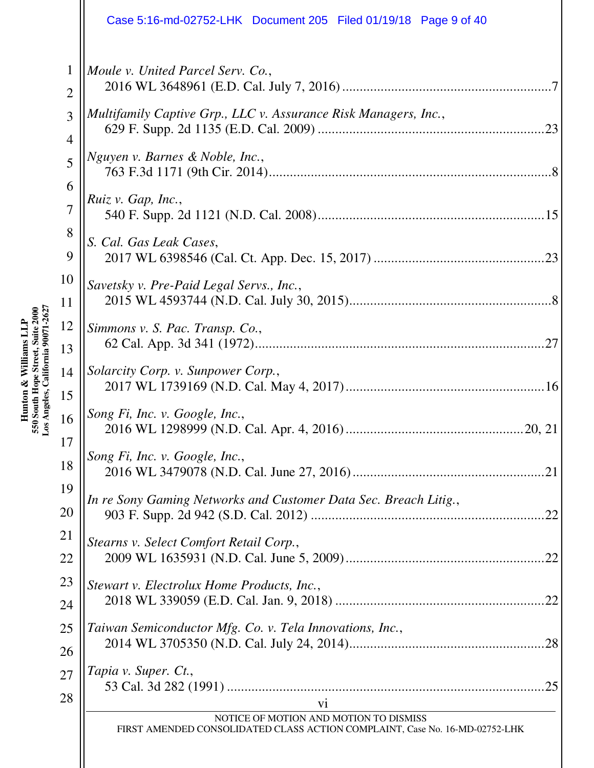|                               | Case 5:16-md-02752-LHK  Document 205  Filed 01/19/18  Page 9 of 40                                                          |
|-------------------------------|-----------------------------------------------------------------------------------------------------------------------------|
| $\mathbf 1$<br>$\overline{2}$ | Moule v. United Parcel Serv. Co.,                                                                                           |
| 3<br>$\overline{4}$           | Multifamily Captive Grp., LLC v. Assurance Risk Managers, Inc.,<br>.23                                                      |
| 5                             | Nguyen v. Barnes & Noble, Inc.,                                                                                             |
| 6<br>$\overline{7}$           | Ruiz v. Gap, Inc.,                                                                                                          |
| 8<br>9                        | S. Cal. Gas Leak Cases,                                                                                                     |
| 10<br>11                      | Savetsky v. Pre-Paid Legal Servs., Inc.,                                                                                    |
| 12<br>13                      | Simmons v. S. Pac. Transp. Co.,<br>.27                                                                                      |
| 14<br>15                      | Solarcity Corp. v. Sunpower Corp.,                                                                                          |
| 16                            | Song Fi, Inc. v. Google, Inc.,                                                                                              |
| 17<br>18                      | Song Fi, Inc. v. Google, Inc.,<br>.21                                                                                       |
| 19<br>20                      | In re Sony Gaming Networks and Customer Data Sec. Breach Litig.,<br>.22                                                     |
| 21<br>22                      | Stearns v. Select Comfort Retail Corp.,                                                                                     |
| 23<br>24                      | Stewart v. Electrolux Home Products, Inc.,<br>.22                                                                           |
| 25<br>26                      | Taiwan Semiconductor Mfg. Co. v. Tela Innovations, Inc.,                                                                    |
| 27<br>28                      | Tapia v. Super. Ct.,<br>.25                                                                                                 |
|                               | vi<br>NOTICE OF MOTION AND MOTION TO DISMISS<br>FIRST AMENDED CONSOLIDATED CLASS ACTION COMPLAINT, Case No. 16-MD-02752-LHK |
|                               |                                                                                                                             |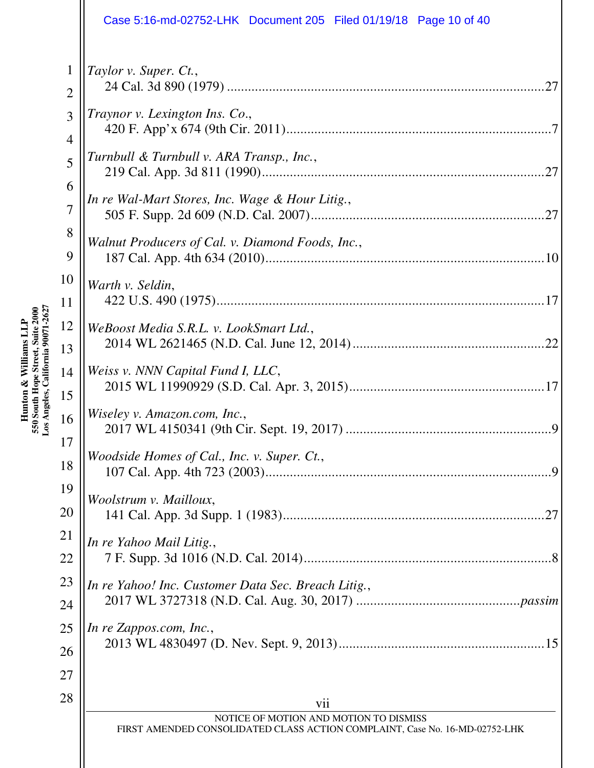|                     | Case 5:16-md-02752-LHK Document 205 Filed 01/19/18 Page 10 of 40                                                             |
|---------------------|------------------------------------------------------------------------------------------------------------------------------|
| 1<br>$\overline{2}$ | Taylor v. Super. Ct.,<br>.27                                                                                                 |
| 3<br>$\overline{4}$ | Traynor v. Lexington Ins. Co.,                                                                                               |
| 5                   | Turnbull & Turnbull v. ARA Transp., Inc.,                                                                                    |
| 6<br>$\overline{7}$ | In re Wal-Mart Stores, Inc. Wage & Hour Litig.,<br>27                                                                        |
| 8<br>9              | Walnut Producers of Cal. v. Diamond Foods, Inc.,                                                                             |
| 10<br>11            | Warth v. Seldin,                                                                                                             |
| 12<br>13            | WeBoost Media S.R.L. v. LookSmart Ltd.,<br>22                                                                                |
| 14<br>15            | Weiss v. NNN Capital Fund I, LLC,                                                                                            |
| 16                  | Wiseley v. Amazon.com, Inc.,<br>9                                                                                            |
| 17<br>18            | Woodside Homes of Cal., Inc. v. Super. Ct.,<br>$\mathbf Q$                                                                   |
| 19<br>20            | Woolstrum v. Mailloux,<br>.27                                                                                                |
| 21<br>22            | In re Yahoo Mail Litig.,                                                                                                     |
| 23<br>24            | In re Yahoo! Inc. Customer Data Sec. Breach Litig.,                                                                          |
| 25<br>26            | In re Zappos.com, Inc.,                                                                                                      |
| 27<br>28            |                                                                                                                              |
|                     | vii<br>NOTICE OF MOTION AND MOTION TO DISMISS<br>FIRST AMENDED CONSOLIDATED CLASS ACTION COMPLAINT, Case No. 16-MD-02752-LHK |
|                     |                                                                                                                              |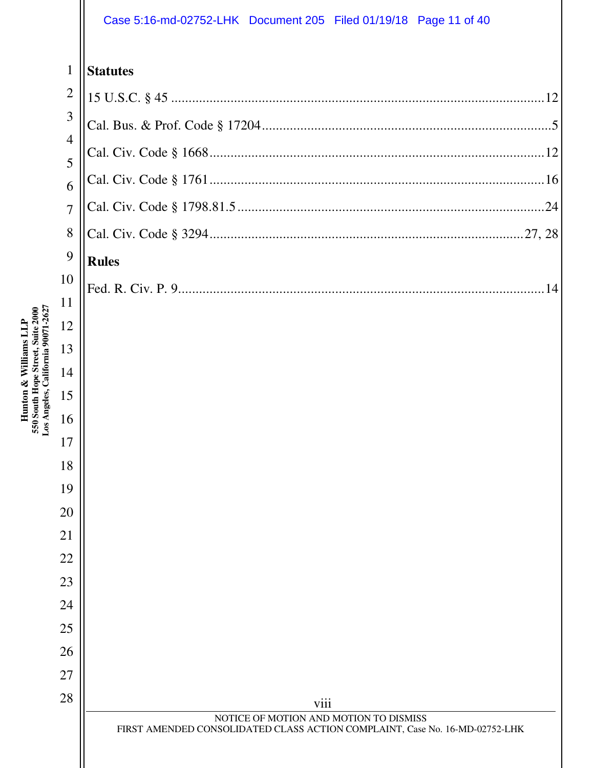#### Case 5:16-md-02752-LHK Document 205 Filed 01/19/18 Page 11 of 40

| $\mathbf{1}$        | <b>Statutes</b>                                                                                                       |
|---------------------|-----------------------------------------------------------------------------------------------------------------------|
| $\overline{2}$      |                                                                                                                       |
| 3                   |                                                                                                                       |
| $\overline{4}$<br>5 |                                                                                                                       |
| 6                   |                                                                                                                       |
| $\overline{7}$      |                                                                                                                       |
| 8                   |                                                                                                                       |
| 9                   | <b>Rules</b>                                                                                                          |
| 10                  |                                                                                                                       |
| 11                  |                                                                                                                       |
| 12                  |                                                                                                                       |
| 13<br>14            |                                                                                                                       |
| 15                  |                                                                                                                       |
| 16                  |                                                                                                                       |
| 17                  |                                                                                                                       |
| 18                  |                                                                                                                       |
| 19                  |                                                                                                                       |
| 20                  |                                                                                                                       |
| 21                  |                                                                                                                       |
| 22                  |                                                                                                                       |
| 23<br>24            |                                                                                                                       |
| 25                  |                                                                                                                       |
| 26                  |                                                                                                                       |
| 27                  |                                                                                                                       |
| 28                  | viii                                                                                                                  |
|                     | NOTICE OF MOTION AND MOTION TO DISMISS<br>FIRST AMENDED CONSOLIDATED CLASS ACTION COMPLAINT, Case No. 16-MD-02752-LHK |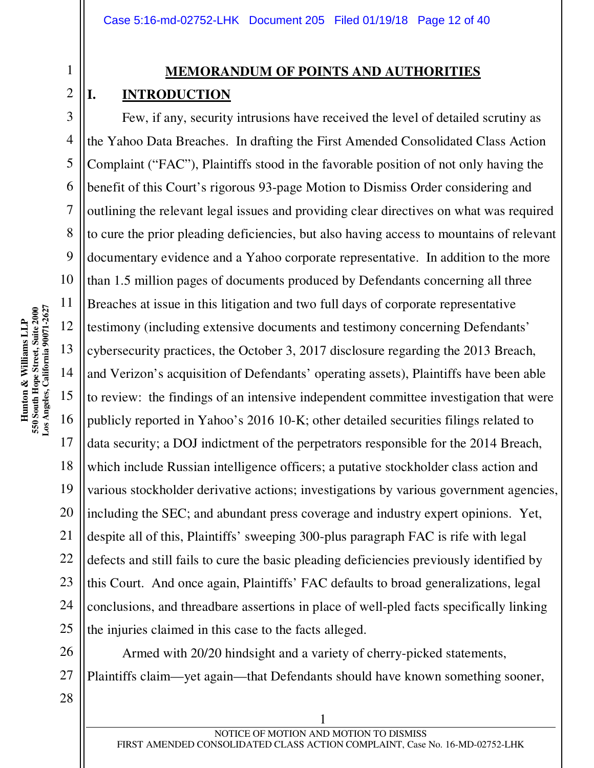#### 2

1

## **MEMORANDUM OF POINTS AND AUTHORITIES**

#### **I. INTRODUCTION**

3 4 5 6 7 8 9 10 12 13 14 15 16 18 19 Few, if any, security intrusions have received the level of detailed scrutiny as the Yahoo Data Breaches. In drafting the First Amended Consolidated Class Action Complaint ("FAC"), Plaintiffs stood in the favorable position of not only having the benefit of this Court's rigorous 93-page Motion to Dismiss Order considering and outlining the relevant legal issues and providing clear directives on what was required to cure the prior pleading deficiencies, but also having access to mountains of relevant documentary evidence and a Yahoo corporate representative. In addition to the more than 1.5 million pages of documents produced by Defendants concerning all three Breaches at issue in this litigation and two full days of corporate representative testimony (including extensive documents and testimony concerning Defendants' cybersecurity practices, the October 3, 2017 disclosure regarding the 2013 Breach, and Verizon's acquisition of Defendants' operating assets), Plaintiffs have been able to review: the findings of an intensive independent committee investigation that were publicly reported in Yahoo's 2016 10-K; other detailed securities filings related to data security; a DOJ indictment of the perpetrators responsible for the 2014 Breach, which include Russian intelligence officers; a putative stockholder class action and various stockholder derivative actions; investigations by various government agencies, including the SEC; and abundant press coverage and industry expert opinions. Yet, despite all of this, Plaintiffs' sweeping 300-plus paragraph FAC is rife with legal defects and still fails to cure the basic pleading deficiencies previously identified by this Court. And once again, Plaintiffs' FAC defaults to broad generalizations, legal conclusions, and threadbare assertions in place of well-pled facts specifically linking the injuries claimed in this case to the facts alleged.

Armed with 20/20 hindsight and a variety of cherry-picked statements, Plaintiffs claim—yet again—that Defendants should have known something sooner,

**Los Angeles, California 90071-2627**  550 South Hope Street, Suite 2000<br>Los Angeles, California 90071-2627 **550 South Hope Street, Suite 2000 Hunton & Williams LLP**  Hunton & Williams LLP

11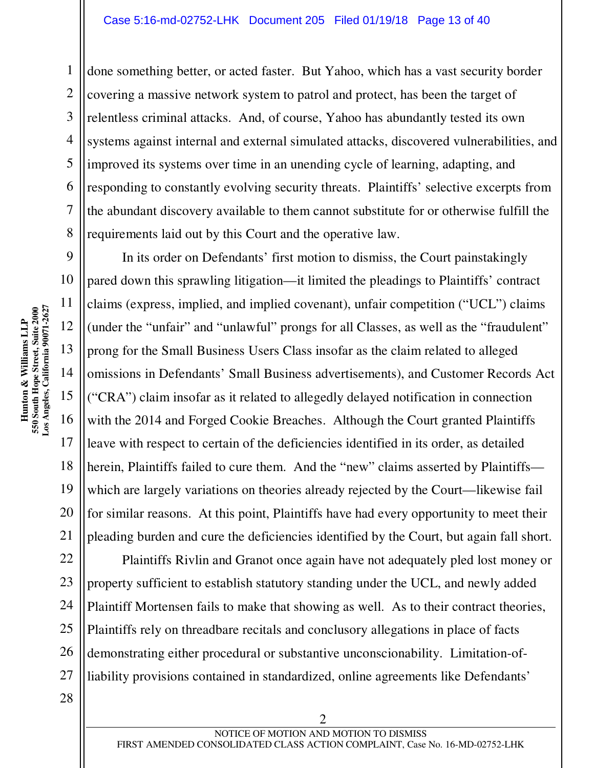done something better, or acted faster. But Yahoo, which has a vast security border covering a massive network system to patrol and protect, has been the target of relentless criminal attacks. And, of course, Yahoo has abundantly tested its own systems against internal and external simulated attacks, discovered vulnerabilities, and improved its systems over time in an unending cycle of learning, adapting, and responding to constantly evolving security threats. Plaintiffs' selective excerpts from the abundant discovery available to them cannot substitute for or otherwise fulfill the requirements laid out by this Court and the operative law.

In its order on Defendants' first motion to dismiss, the Court painstakingly pared down this sprawling litigation—it limited the pleadings to Plaintiffs' contract claims (express, implied, and implied covenant), unfair competition ("UCL") claims (under the "unfair" and "unlawful" prongs for all Classes, as well as the "fraudulent" prong for the Small Business Users Class insofar as the claim related to alleged omissions in Defendants' Small Business advertisements), and Customer Records Act ("CRA") claim insofar as it related to allegedly delayed notification in connection with the 2014 and Forged Cookie Breaches. Although the Court granted Plaintiffs leave with respect to certain of the deficiencies identified in its order, as detailed herein, Plaintiffs failed to cure them. And the "new" claims asserted by Plaintiffs which are largely variations on theories already rejected by the Court—likewise fail for similar reasons. At this point, Plaintiffs have had every opportunity to meet their pleading burden and cure the deficiencies identified by the Court, but again fall short.

Plaintiffs Rivlin and Granot once again have not adequately pled lost money or property sufficient to establish statutory standing under the UCL, and newly added Plaintiff Mortensen fails to make that showing as well. As to their contract theories, Plaintiffs rely on threadbare recitals and conclusory allegations in place of facts demonstrating either procedural or substantive unconscionability. Limitation-ofliability provisions contained in standardized, online agreements like Defendants'

1

2

3

4

5

6

7

8

9

10

11

12

13

14

15

16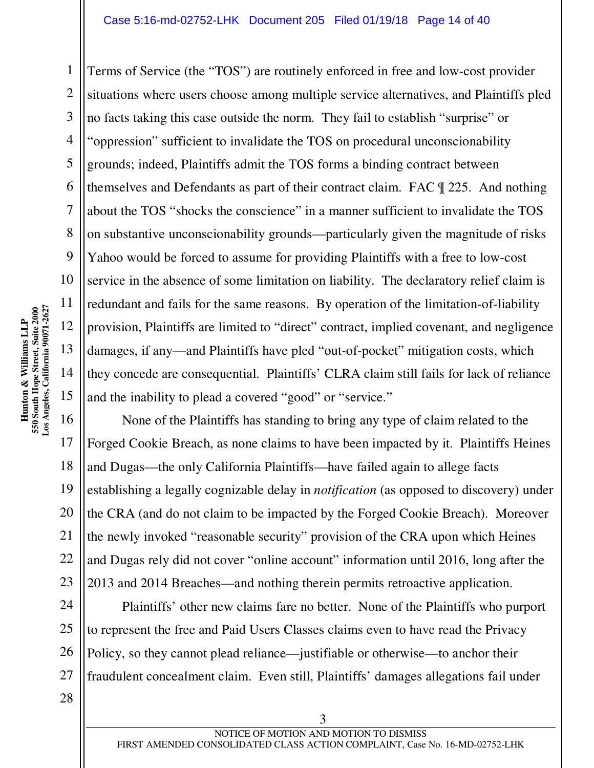Terms of Service (the "TOS") are routinely enforced in free and low-cost provider situations where users choose among multiple service alternatives, and Plaintiffs pled no facts taking this case outside the norm. They fail to establish "surprise" or "oppression" sufficient to invalidate the TOS on procedural unconscionability grounds; indeed, Plaintiffs admit the TOS forms a binding contract between themselves and Defendants as part of their contract claim. FAC ¶ 225. And nothing about the TOS "shocks the conscience" in a manner sufficient to invalidate the TOS on substantive unconscionability grounds—particularly given the magnitude of risks Yahoo would be forced to assume for providing Plaintiffs with a free to low-cost service in the absence of some limitation on liability. The declaratory relief claim is redundant and fails for the same reasons. By operation of the limitation-of-liability provision, Plaintiffs are limited to "direct" contract, implied covenant, and negligence damages, if any—and Plaintiffs have pled "out-of-pocket" mitigation costs, which they concede are consequential. Plaintiffs' CLRA claim still fails for lack of reliance and the inability to plead a covered "good" or "service."

20 23 None of the Plaintiffs has standing to bring any type of claim related to the Forged Cookie Breach, as none claims to have been impacted by it. Plaintiffs Heines and Dugas—the only California Plaintiffs—have failed again to allege facts establishing a legally cognizable delay in *notification* (as opposed to discovery) under the CRA (and do not claim to be impacted by the Forged Cookie Breach). Moreover the newly invoked "reasonable security" provision of the CRA upon which Heines and Dugas rely did not cover "online account" information until 2016, long after the 2013 and 2014 Breaches—and nothing therein permits retroactive application.

Plaintiffs' other new claims fare no better. None of the Plaintiffs who purport to represent the free and Paid Users Classes claims even to have read the Privacy Policy, so they cannot plead reliance—justifiable or otherwise—to anchor their fraudulent concealment claim. Even still, Plaintiffs' damages allegations fail under

1

2

3

4

5

6

7

8

9

10

11

12

13

14

15

16

17

18

19

21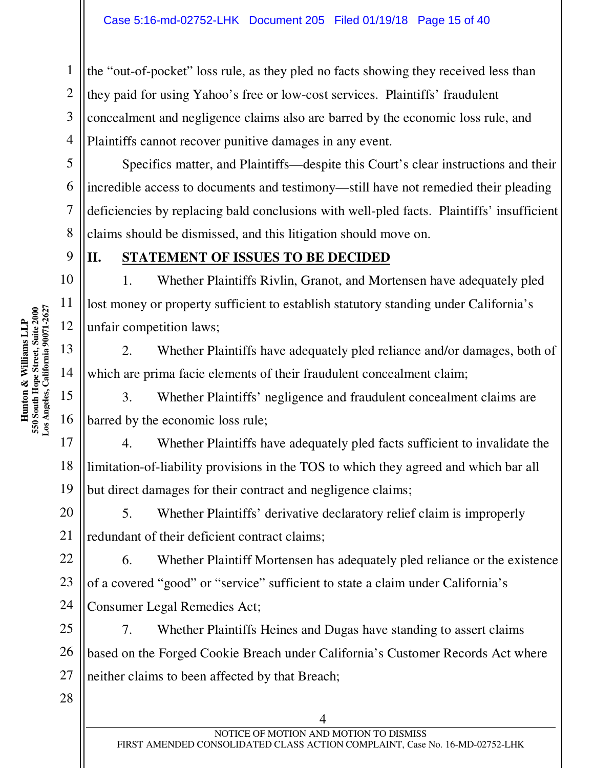the "out-of-pocket" loss rule, as they pled no facts showing they received less than they paid for using Yahoo's free or low-cost services. Plaintiffs' fraudulent concealment and negligence claims also are barred by the economic loss rule, and Plaintiffs cannot recover punitive damages in any event.

Specifics matter, and Plaintiffs—despite this Court's clear instructions and their incredible access to documents and testimony—still have not remedied their pleading deficiencies by replacing bald conclusions with well-pled facts. Plaintiffs' insufficient claims should be dismissed, and this litigation should move on.

1

2

3

4

5

6

7

8

9

10

11

#### **II. STATEMENT OF ISSUES TO BE DECIDED**

1. Whether Plaintiffs Rivlin, Granot, and Mortensen have adequately pled lost money or property sufficient to establish statutory standing under California's unfair competition laws;

2. Whether Plaintiffs have adequately pled reliance and/or damages, both of which are prima facie elements of their fraudulent concealment claim;

3. Whether Plaintiffs' negligence and fraudulent concealment claims are barred by the economic loss rule;

17 18 19 4. Whether Plaintiffs have adequately pled facts sufficient to invalidate the limitation-of-liability provisions in the TOS to which they agreed and which bar all but direct damages for their contract and negligence claims;

20 5. Whether Plaintiffs' derivative declaratory relief claim is improperly redundant of their deficient contract claims;

6. Whether Plaintiff Mortensen has adequately pled reliance or the existence of a covered "good" or "service" sufficient to state a claim under California's Consumer Legal Remedies Act;

7. Whether Plaintiffs Heines and Dugas have standing to assert claims based on the Forged Cookie Breach under California's Customer Records Act where neither claims to been affected by that Breach;

**Los Angeles, California 90071-2627**  Hunton & Williams LLP<br>550 South Hope Street, Suite 2000<br>Los Angeles, California 90071-2627 **550 South Hope Street, Suite 2000 Hunton & Williams LLP**  12 13 14 15 16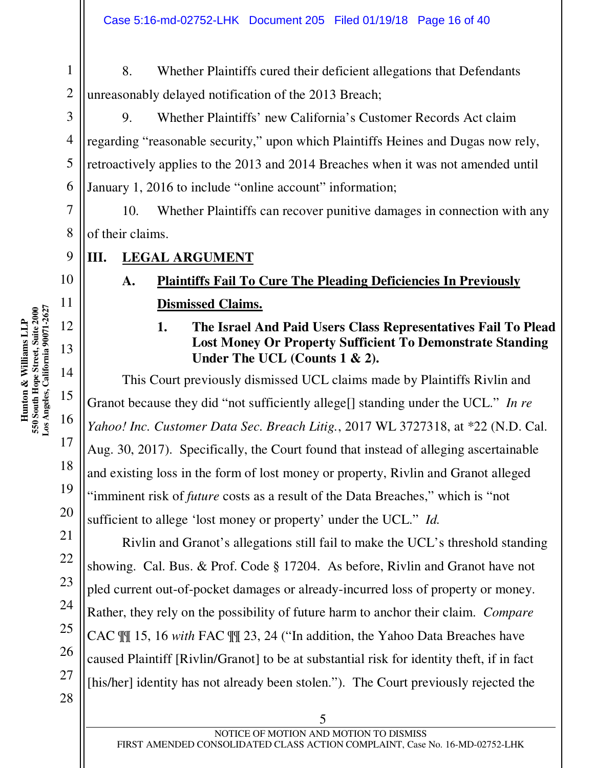1 2 8. Whether Plaintiffs cured their deficient allegations that Defendants unreasonably delayed notification of the 2013 Breach;

9. Whether Plaintiffs' new California's Customer Records Act claim regarding "reasonable security," upon which Plaintiffs Heines and Dugas now rely, retroactively applies to the 2013 and 2014 Breaches when it was not amended until January 1, 2016 to include "online account" information;

10. Whether Plaintiffs can recover punitive damages in connection with any of their claims.

**III. LEGAL ARGUMENT** 

### **A. Plaintiffs Fail To Cure The Pleading Deficiencies In Previously Dismissed Claims.**

**1. The Israel And Paid Users Class Representatives Fail To Plead Lost Money Or Property Sufficient To Demonstrate Standing Under The UCL (Counts 1 & 2).** 

This Court previously dismissed UCL claims made by Plaintiffs Rivlin and Granot because they did "not sufficiently allege[] standing under the UCL." *In re Yahoo! Inc. Customer Data Sec. Breach Litig.*, 2017 WL 3727318, at \*22 (N.D. Cal. Aug. 30, 2017). Specifically, the Court found that instead of alleging ascertainable and existing loss in the form of lost money or property, Rivlin and Granot alleged "imminent risk of *future* costs as a result of the Data Breaches," which is "not sufficient to allege 'lost money or property' under the UCL." *Id.* 

Rivlin and Granot's allegations still fail to make the UCL's threshold standing showing. Cal. Bus. & Prof. Code § 17204. As before, Rivlin and Granot have not pled current out-of-pocket damages or already-incurred loss of property or money. Rather, they rely on the possibility of future harm to anchor their claim. *Compare*  CAC ¶¶ 15, 16 *with* FAC ¶¶ 23, 24 ("In addition, the Yahoo Data Breaches have caused Plaintiff [Rivlin/Granot] to be at substantial risk for identity theft, if in fact [his/her] identity has not already been stolen."). The Court previously rejected the

3

4

5

6

7

8

9

10

11

12

13

14

15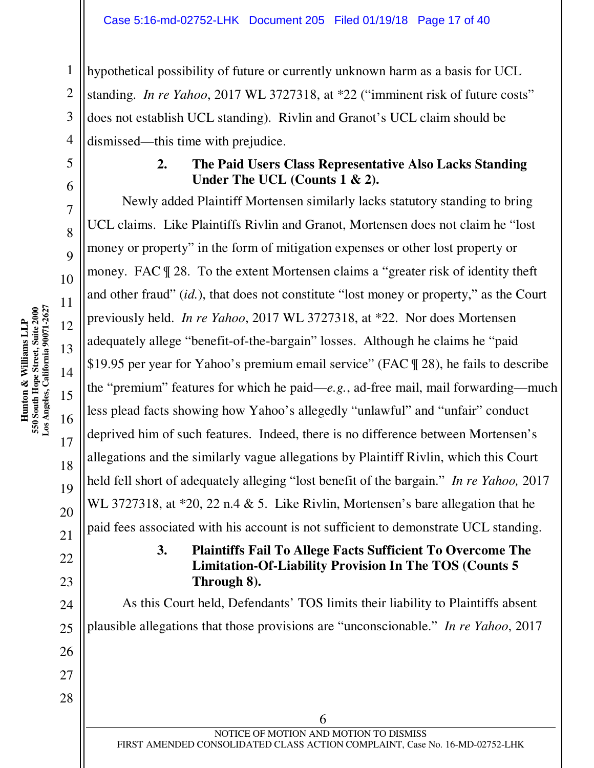1 2 3 4 hypothetical possibility of future or currently unknown harm as a basis for UCL standing. *In re Yahoo*, 2017 WL 3727318, at \*22 ("imminent risk of future costs" does not establish UCL standing). Rivlin and Granot's UCL claim should be dismissed—this time with prejudice.

#### **2. The Paid Users Class Representative Also Lacks Standing Under The UCL (Counts 1 & 2).**

Newly added Plaintiff Mortensen similarly lacks statutory standing to bring UCL claims. Like Plaintiffs Rivlin and Granot, Mortensen does not claim he "lost money or property" in the form of mitigation expenses or other lost property or money. FAC ¶ 28. To the extent Mortensen claims a "greater risk of identity theft and other fraud" (*id.*), that does not constitute "lost money or property," as the Court previously held. *In re Yahoo*, 2017 WL 3727318, at \*22. Nor does Mortensen adequately allege "benefit-of-the-bargain" losses. Although he claims he "paid \$19.95 per year for Yahoo's premium email service" (FAC ¶ 28), he fails to describe the "premium" features for which he paid—*e.g.*, ad-free mail, mail forwarding—much less plead facts showing how Yahoo's allegedly "unlawful" and "unfair" conduct deprived him of such features. Indeed, there is no difference between Mortensen's allegations and the similarly vague allegations by Plaintiff Rivlin, which this Court held fell short of adequately alleging "lost benefit of the bargain." *In re Yahoo,* 2017 WL 3727318, at \*20, 22 n.4 & 5. Like Rivlin, Mortensen's bare allegation that he paid fees associated with his account is not sufficient to demonstrate UCL standing.

#### **3. Plaintiffs Fail To Allege Facts Sufficient To Overcome The Limitation-Of-Liability Provision In The TOS (Counts 5 Through 8).**

As this Court held, Defendants' TOS limits their liability to Plaintiffs absent plausible allegations that those provisions are "unconscionable." *In re Yahoo*, 2017

5

6

7

8

 $\overline{Q}$ 

10

11

12

13

14

15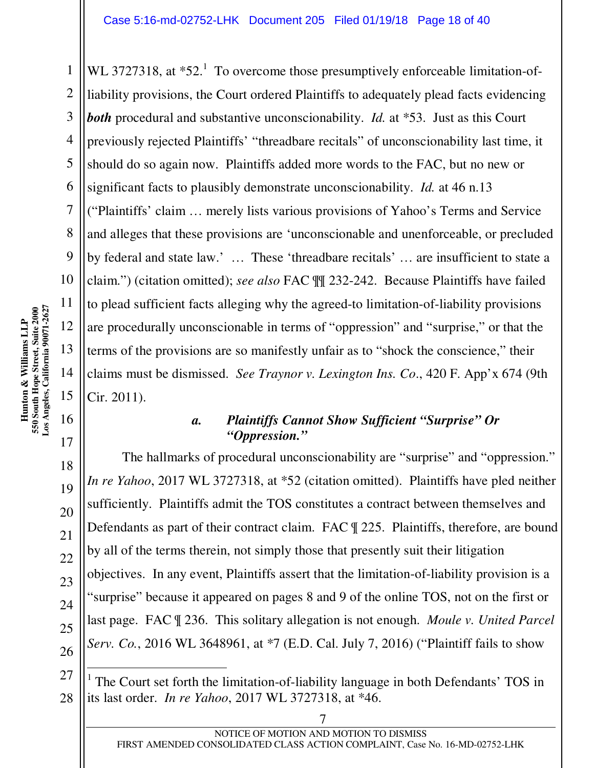WL 3727318, at  $*52<sup>1</sup>$  To overcome those presumptively enforceable limitation-ofliability provisions, the Court ordered Plaintiffs to adequately plead facts evidencing *both* procedural and substantive unconscionability. *Id.* at \*53. Just as this Court previously rejected Plaintiffs' "threadbare recitals" of unconscionability last time, it should do so again now. Plaintiffs added more words to the FAC, but no new or significant facts to plausibly demonstrate unconscionability. *Id.* at 46 n.13 ("Plaintiffs' claim … merely lists various provisions of Yahoo's Terms and Service and alleges that these provisions are 'unconscionable and unenforceable, or precluded by federal and state law.' … These 'threadbare recitals' … are insufficient to state a claim.") (citation omitted); *see also* FAC ¶¶ 232-242. Because Plaintiffs have failed to plead sufficient facts alleging why the agreed-to limitation-of-liability provisions are procedurally unconscionable in terms of "oppression" and "surprise," or that the terms of the provisions are so manifestly unfair as to "shock the conscience," their claims must be dismissed. *See Traynor v. Lexington Ins. Co*., 420 F. App'x 674 (9th Cir. 2011).

#### *a. Plaintiffs Cannot Show Sufficient "Surprise" Or "Oppression."*

The hallmarks of procedural unconscionability are "surprise" and "oppression." *In re Yahoo*, 2017 WL 3727318, at \*52 (citation omitted). Plaintiffs have pled neither sufficiently. Plaintiffs admit the TOS constitutes a contract between themselves and Defendants as part of their contract claim. FAC ¶ 225. Plaintiffs, therefore, are bound by all of the terms therein, not simply those that presently suit their litigation objectives. In any event, Plaintiffs assert that the limitation-of-liability provision is a "surprise" because it appeared on pages 8 and 9 of the online TOS, not on the first or last page. FAC ¶ 236. This solitary allegation is not enough. *Moule v. United Parcel Serv. Co.*, 2016 WL 3648961, at \*7 (E.D. Cal. July 7, 2016) ("Plaintiff fails to show

1

2

3

4

5

6

7

8

9

10

11

12

13

14

15

16

 $\overline{a}$ 

<sup>1</sup> The Court set forth the limitation-of-liability language in both Defendants' TOS in its last order. *In re Yahoo*, 2017 WL 3727318, at \*46.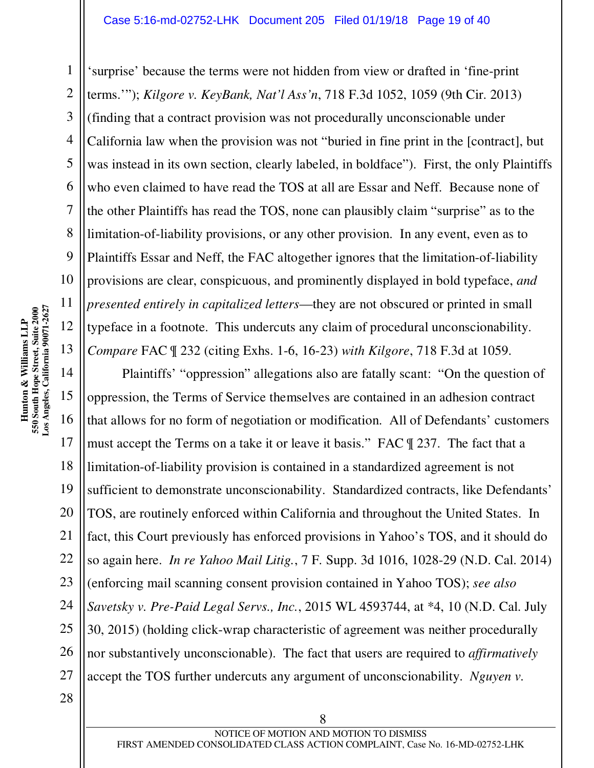'surprise' because the terms were not hidden from view or drafted in 'fine-print terms.'"); *Kilgore v. KeyBank, Nat'l Ass'n*, 718 F.3d 1052, 1059 (9th Cir. 2013) (finding that a contract provision was not procedurally unconscionable under California law when the provision was not "buried in fine print in the [contract], but was instead in its own section, clearly labeled, in boldface"). First, the only Plaintiffs who even claimed to have read the TOS at all are Essar and Neff. Because none of the other Plaintiffs has read the TOS, none can plausibly claim "surprise" as to the limitation-of-liability provisions, or any other provision. In any event, even as to Plaintiffs Essar and Neff, the FAC altogether ignores that the limitation-of-liability provisions are clear, conspicuous, and prominently displayed in bold typeface, *and presented entirely in capitalized letters*—they are not obscured or printed in small typeface in a footnote. This undercuts any claim of procedural unconscionability. *Compare* FAC ¶ 232 (citing Exhs. 1-6, 16-23) *with Kilgore*, 718 F.3d at 1059.

14 15 16 Plaintiffs' "oppression" allegations also are fatally scant: "On the question of oppression, the Terms of Service themselves are contained in an adhesion contract that allows for no form of negotiation or modification. All of Defendants' customers must accept the Terms on a take it or leave it basis." FAC ¶ 237. The fact that a limitation-of-liability provision is contained in a standardized agreement is not sufficient to demonstrate unconscionability. Standardized contracts, like Defendants' TOS, are routinely enforced within California and throughout the United States. In fact, this Court previously has enforced provisions in Yahoo's TOS, and it should do so again here. *In re Yahoo Mail Litig.*, 7 F. Supp. 3d 1016, 1028-29 (N.D. Cal. 2014) (enforcing mail scanning consent provision contained in Yahoo TOS); *see also Savetsky v. Pre-Paid Legal Servs., Inc.*, 2015 WL 4593744, at \*4, 10 (N.D. Cal. July 30, 2015) (holding click-wrap characteristic of agreement was neither procedurally nor substantively unconscionable). The fact that users are required to *affirmatively* accept the TOS further undercuts any argument of unconscionability. *Nguyen v.* 

1

2

3

4

5

6

7

8

9

10

11

12

13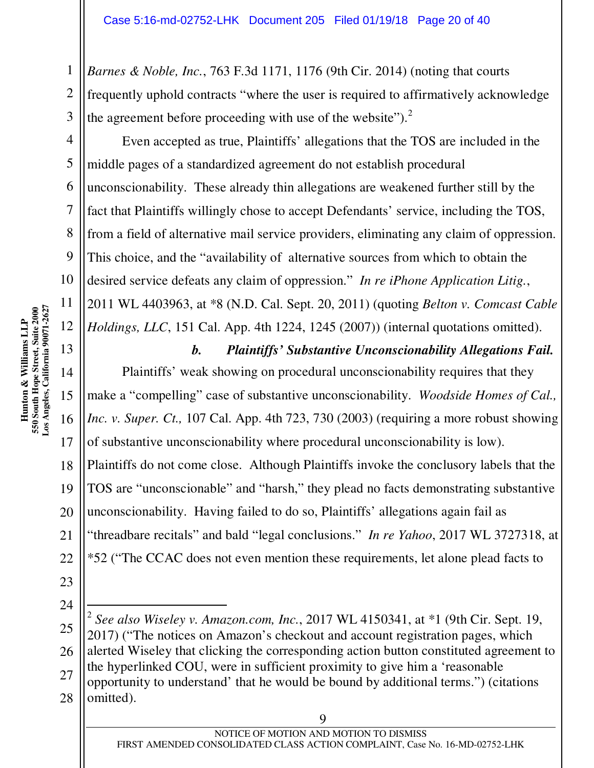*Barnes & Noble, Inc.*, 763 F.3d 1171, 1176 (9th Cir. 2014) (noting that courts frequently uphold contracts "where the user is required to affirmatively acknowledge the agreement before proceeding with use of the website"). $2^2$ 

Even accepted as true, Plaintiffs' allegations that the TOS are included in the middle pages of a standardized agreement do not establish procedural unconscionability. These already thin allegations are weakened further still by the fact that Plaintiffs willingly chose to accept Defendants' service, including the TOS, from a field of alternative mail service providers, eliminating any claim of oppression. This choice, and the "availability of alternative sources from which to obtain the desired service defeats any claim of oppression." *In re iPhone Application Litig.*, 2011 WL 4403963, at \*8 (N.D. Cal. Sept. 20, 2011) (quoting *Belton v. Comcast Cable Holdings, LLC*, 151 Cal. App. 4th 1224, 1245 (2007)) (internal quotations omitted).

13 14 15 16 17 18 19 20 21 *b. Plaintiffs' Substantive Unconscionability Allegations Fail.*  Plaintiffs' weak showing on procedural unconscionability requires that they make a "compelling" case of substantive unconscionability. *Woodside Homes of Cal., Inc. v. Super. Ct.,* 107 Cal. App. 4th 723, 730 (2003) (requiring a more robust showing of substantive unconscionability where procedural unconscionability is low). Plaintiffs do not come close. Although Plaintiffs invoke the conclusory labels that the TOS are "unconscionable" and "harsh," they plead no facts demonstrating substantive unconscionability. Having failed to do so, Plaintiffs' allegations again fail as "threadbare recitals" and bald "legal conclusions." *In re Yahoo*, 2017 WL 3727318, at \*52 ("The CCAC does not even mention these requirements, let alone plead facts to

26 27  $\overline{a}$ 2 *See also Wiseley v. Amazon.com, Inc.*, 2017 WL 4150341, at \*1 (9th Cir. Sept. 19, 2017) ("The notices on Amazon's checkout and account registration pages, which alerted Wiseley that clicking the corresponding action button constituted agreement to the hyperlinked COU, were in sufficient proximity to give him a 'reasonable opportunity to understand' that he would be bound by additional terms.") (citations omitted).

1

2

3

4

5

6

7

8

9

10

- 25
-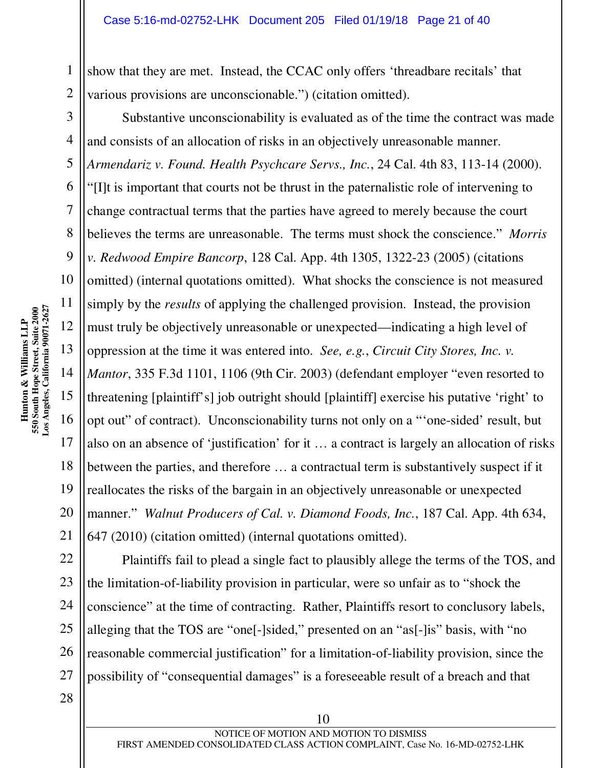show that they are met. Instead, the CCAC only offers 'threadbare recitals' that various provisions are unconscionable.") (citation omitted).

Substantive unconscionability is evaluated as of the time the contract was made and consists of an allocation of risks in an objectively unreasonable manner. *Armendariz v. Found. Health Psychcare Servs., Inc.*, 24 Cal. 4th 83, 113-14 (2000). "[I]t is important that courts not be thrust in the paternalistic role of intervening to change contractual terms that the parties have agreed to merely because the court believes the terms are unreasonable. The terms must shock the conscience." *Morris v. Redwood Empire Bancorp*, 128 Cal. App. 4th 1305, 1322-23 (2005) (citations omitted) (internal quotations omitted). What shocks the conscience is not measured simply by the *results* of applying the challenged provision. Instead, the provision must truly be objectively unreasonable or unexpected—indicating a high level of oppression at the time it was entered into. *See, e.g.*, *Circuit City Stores, Inc. v. Mantor*, 335 F.3d 1101, 1106 (9th Cir. 2003) (defendant employer "even resorted to threatening [plaintiff's] job outright should [plaintiff] exercise his putative 'right' to opt out" of contract). Unconscionability turns not only on a "'one-sided' result, but also on an absence of 'justification' for it … a contract is largely an allocation of risks between the parties, and therefore … a contractual term is substantively suspect if it reallocates the risks of the bargain in an objectively unreasonable or unexpected manner." *Walnut Producers of Cal. v. Diamond Foods, Inc.*, 187 Cal. App. 4th 634, 647 (2010) (citation omitted) (internal quotations omitted).

22 23 24 25 26 27 Plaintiffs fail to plead a single fact to plausibly allege the terms of the TOS, and the limitation-of-liability provision in particular, were so unfair as to "shock the conscience" at the time of contracting. Rather, Plaintiffs resort to conclusory labels, alleging that the TOS are "one[-]sided," presented on an "as[-]is" basis, with "no reasonable commercial justification" for a limitation-of-liability provision, since the possibility of "consequential damages" is a foreseeable result of a breach and that

1

2

3

4

5

6

7

8

9

10

11

12

13

14

15

16

17

18

19

20

21

28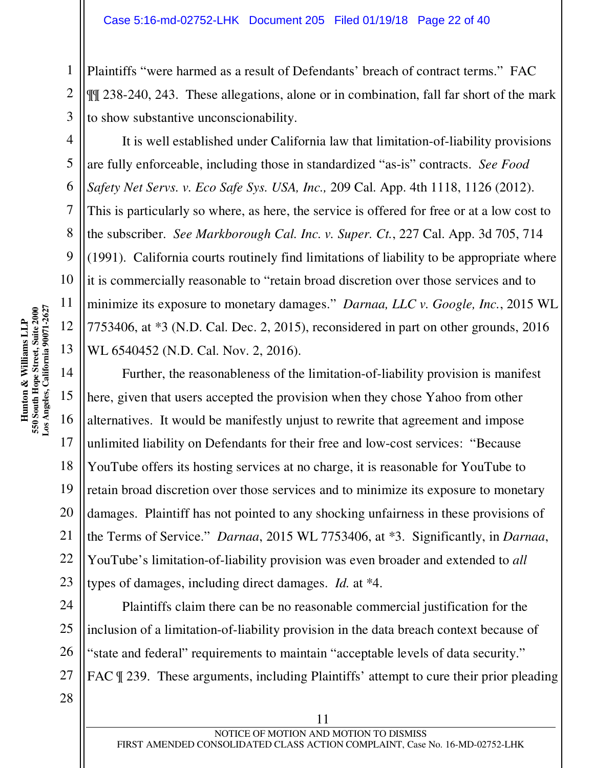Plaintiffs "were harmed as a result of Defendants' breach of contract terms." FAC ¶¶ 238-240, 243. These allegations, alone or in combination, fall far short of the mark to show substantive unconscionability.

It is well established under California law that limitation-of-liability provisions are fully enforceable, including those in standardized "as-is" contracts. *See Food Safety Net Servs. v. Eco Safe Sys. USA, Inc.,* 209 Cal. App. 4th 1118, 1126 (2012). This is particularly so where, as here, the service is offered for free or at a low cost to the subscriber. *See Markborough Cal. Inc. v. Super. Ct.*, 227 Cal. App. 3d 705, 714 (1991). California courts routinely find limitations of liability to be appropriate where it is commercially reasonable to "retain broad discretion over those services and to minimize its exposure to monetary damages." *Darnaa, LLC v. Google, Inc.*, 2015 WL 7753406, at \*3 (N.D. Cal. Dec. 2, 2015), reconsidered in part on other grounds, 2016 WL 6540452 (N.D. Cal. Nov. 2, 2016).

Further, the reasonableness of the limitation-of-liability provision is manifest here, given that users accepted the provision when they chose Yahoo from other alternatives. It would be manifestly unjust to rewrite that agreement and impose unlimited liability on Defendants for their free and low-cost services: "Because YouTube offers its hosting services at no charge, it is reasonable for YouTube to retain broad discretion over those services and to minimize its exposure to monetary damages. Plaintiff has not pointed to any shocking unfairness in these provisions of the Terms of Service." *Darnaa*, 2015 WL 7753406, at \*3. Significantly, in *Darnaa*, YouTube's limitation-of-liability provision was even broader and extended to *all*  types of damages, including direct damages. *Id.* at \*4.

Plaintiffs claim there can be no reasonable commercial justification for the inclusion of a limitation-of-liability provision in the data breach context because of "state and federal" requirements to maintain "acceptable levels of data security." FAC  $\parallel$  239. These arguments, including Plaintiffs' attempt to cure their prior pleading

1

2

3

4

5

6

7

8

9

10

11

12

13

14

15

16

17

18

19

20

21

22

23

24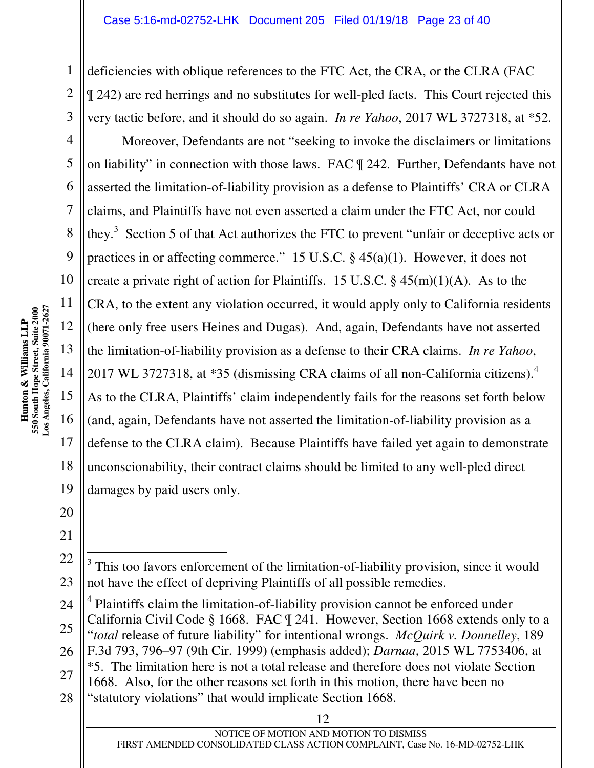deficiencies with oblique references to the FTC Act, the CRA, or the CLRA (FAC ¶ 242) are red herrings and no substitutes for well-pled facts. This Court rejected this very tactic before, and it should do so again. *In re Yahoo*, 2017 WL 3727318, at \*52.

Moreover, Defendants are not "seeking to invoke the disclaimers or limitations on liability" in connection with those laws. FAC ¶ 242. Further, Defendants have not asserted the limitation-of-liability provision as a defense to Plaintiffs' CRA or CLRA claims, and Plaintiffs have not even asserted a claim under the FTC Act, nor could they.<sup>3</sup> Section 5 of that Act authorizes the FTC to prevent "unfair or deceptive acts or practices in or affecting commerce." 15 U.S.C.  $\S$  45(a)(1). However, it does not create a private right of action for Plaintiffs. 15 U.S.C.  $\S$  45(m)(1)(A). As to the CRA, to the extent any violation occurred, it would apply only to California residents (here only free users Heines and Dugas). And, again, Defendants have not asserted the limitation-of-liability provision as a defense to their CRA claims. *In re Yahoo*, 2017 WL 3727318, at  $*35$  (dismissing CRA claims of all non-California citizens).<sup>4</sup> As to the CLRA, Plaintiffs' claim independently fails for the reasons set forth below (and, again, Defendants have not asserted the limitation-of-liability provision as a defense to the CLRA claim). Because Plaintiffs have failed yet again to demonstrate unconscionability, their contract claims should be limited to any well-pled direct damages by paid users only.

17

18

19

1

2

3

4

5

6

7

8

9

10

 $\overline{a}$ 3 This too favors enforcement of the limitation-of-liability provision, since it would not have the effect of depriving Plaintiffs of all possible remedies.

<sup>28</sup> <sup>4</sup> Plaintiffs claim the limitation-of-liability provision cannot be enforced under California Civil Code § 1668. FAC ¶ 241. However, Section 1668 extends only to a "*total* release of future liability" for intentional wrongs. *McQuirk v. Donnelley*, 189 F.3d 793, 796–97 (9th Cir. 1999) (emphasis added); *Darnaa*, 2015 WL 7753406, at \*5. The limitation here is not a total release and therefore does not violate Section 1668. Also, for the other reasons set forth in this motion, there have been no "statutory violations" that would implicate Section 1668.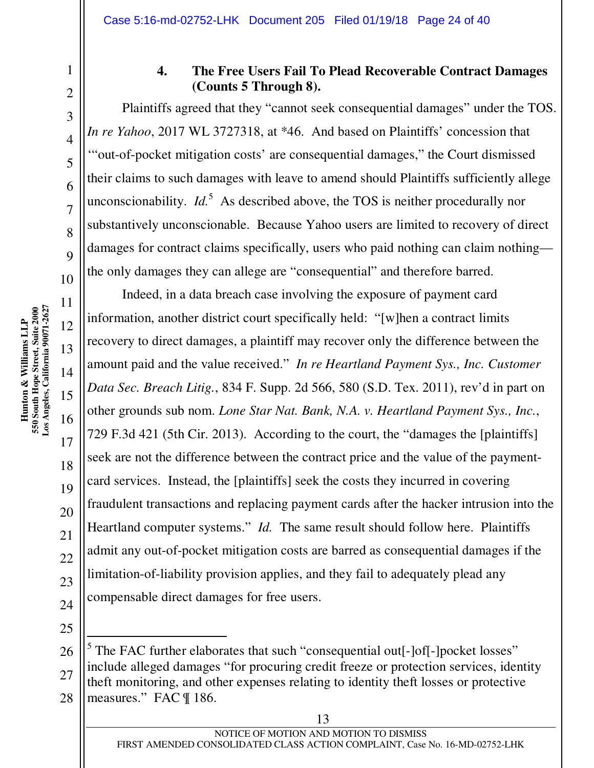# 10 11 **Los Angeles, California 90071-2627**  Hunton & Williams LLP<br>550 South Hope Street, Suite 2000<br>Los Angeles, California 90071-2627 **550 South Hope Street, Suite 2000 Hunton & Williams LLP**  12 13 14 15

1

2

3

4

5

6

7

8

9

16

17

18

19

20

21

22

23

24

25

#### **4. The Free Users Fail To Plead Recoverable Contract Damages (Counts 5 Through 8).**

Plaintiffs agreed that they "cannot seek consequential damages" under the TOS. *In re Yahoo*, 2017 WL 3727318, at \*46. And based on Plaintiffs' concession that '"out-of-pocket mitigation costs' are consequential damages," the Court dismissed their claims to such damages with leave to amend should Plaintiffs sufficiently allege unconscionability.  $Id<sup>5</sup>$  As described above, the TOS is neither procedurally nor substantively unconscionable. Because Yahoo users are limited to recovery of direct damages for contract claims specifically, users who paid nothing can claim nothing the only damages they can allege are "consequential" and therefore barred.

Indeed, in a data breach case involving the exposure of payment card information, another district court specifically held: "[w]hen a contract limits recovery to direct damages, a plaintiff may recover only the difference between the amount paid and the value received." *In re Heartland Payment Sys., Inc. Customer Data Sec. Breach Litig.*, 834 F. Supp. 2d 566, 580 (S.D. Tex. 2011), rev'd in part on other grounds sub nom. *Lone Star Nat. Bank, N.A. v. Heartland Payment Sys., Inc.*, 729 F.3d 421 (5th Cir. 2013). According to the court, the "damages the [plaintiffs] seek are not the difference between the contract price and the value of the paymentcard services. Instead, the [plaintiffs] seek the costs they incurred in covering fraudulent transactions and replacing payment cards after the hacker intrusion into the Heartland computer systems." *Id.* The same result should follow here. Plaintiffs admit any out-of-pocket mitigation costs are barred as consequential damages if the limitation-of-liability provision applies, and they fail to adequately plead any compensable direct damages for free users.

26 27 28 - $<sup>5</sup>$  The FAC further elaborates that such "consequential out[-]of[-]pocket losses"</sup> include alleged damages "for procuring credit freeze or protection services, identity theft monitoring, and other expenses relating to identity theft losses or protective measures." FAC ¶ 186.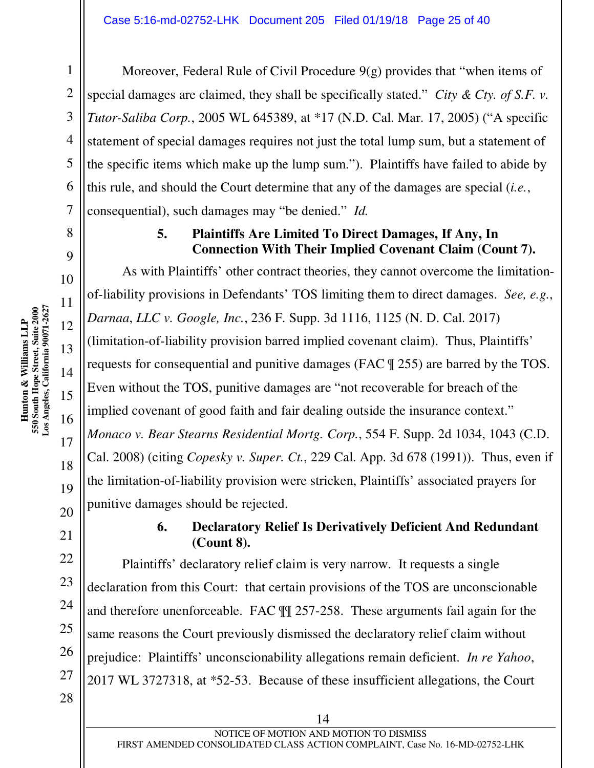Moreover, Federal Rule of Civil Procedure 9(g) provides that "when items of special damages are claimed, they shall be specifically stated." *City & Cty. of S.F. v. Tutor-Saliba Corp.*, 2005 WL 645389, at \*17 (N.D. Cal. Mar. 17, 2005) ("A specific statement of special damages requires not just the total lump sum, but a statement of the specific items which make up the lump sum."). Plaintiffs have failed to abide by this rule, and should the Court determine that any of the damages are special (*i.e.*, consequential), such damages may "be denied." *Id.*

#### **5. Plaintiffs Are Limited To Direct Damages, If Any, In Connection With Their Implied Covenant Claim (Count 7).**

As with Plaintiffs' other contract theories, they cannot overcome the limitationof-liability provisions in Defendants' TOS limiting them to direct damages. *See, e.g.*, *Darnaa*, *LLC v. Google, Inc.*, 236 F. Supp. 3d 1116, 1125 (N. D. Cal. 2017) (limitation-of-liability provision barred implied covenant claim). Thus, Plaintiffs' requests for consequential and punitive damages (FAC ¶ 255) are barred by the TOS. Even without the TOS, punitive damages are "not recoverable for breach of the implied covenant of good faith and fair dealing outside the insurance context." *Monaco v. Bear Stearns Residential Mortg. Corp.*, 554 F. Supp. 2d 1034, 1043 (C.D. Cal. 2008) (citing *Copesky v. Super. Ct.*, 229 Cal. App. 3d 678 (1991)). Thus, even if the limitation-of-liability provision were stricken, Plaintiffs' associated prayers for punitive damages should be rejected.

#### **6. Declaratory Relief Is Derivatively Deficient And Redundant (Count 8).**

Plaintiffs' declaratory relief claim is very narrow. It requests a single declaration from this Court: that certain provisions of the TOS are unconscionable and therefore unenforceable. FAC ¶¶ 257-258. These arguments fail again for the same reasons the Court previously dismissed the declaratory relief claim without prejudice: Plaintiffs' unconscionability allegations remain deficient. *In re Yahoo*, 2017 WL 3727318, at \*52-53. Because of these insufficient allegations, the Court

1

2

3

4

5

6

7

8

9

10

11

12

13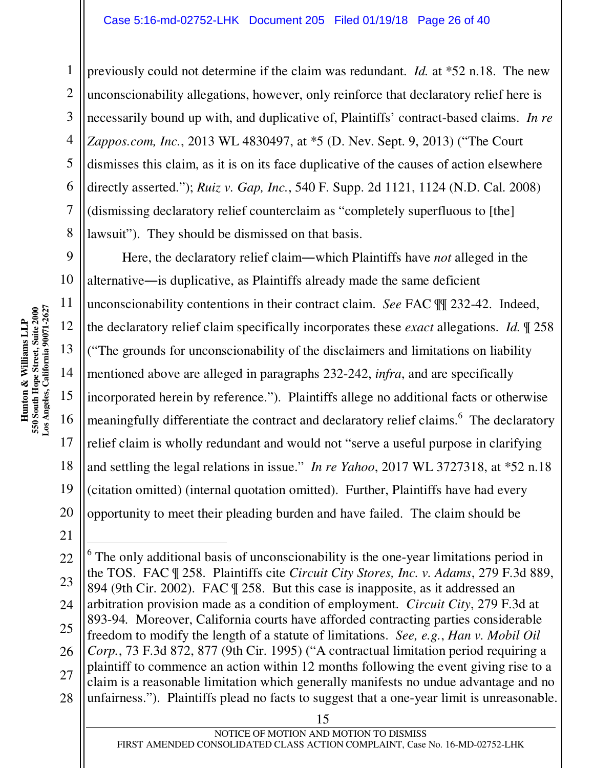previously could not determine if the claim was redundant. *Id.* at \*52 n.18. The new unconscionability allegations, however, only reinforce that declaratory relief here is necessarily bound up with, and duplicative of, Plaintiffs' contract-based claims. *In re Zappos.com, Inc.*, 2013 WL 4830497, at \*5 (D. Nev. Sept. 9, 2013) ("The Court dismisses this claim, as it is on its face duplicative of the causes of action elsewhere directly asserted."); *Ruiz v. Gap, Inc.*, 540 F. Supp. 2d 1121, 1124 (N.D. Cal. 2008) (dismissing declaratory relief counterclaim as "completely superfluous to [the] lawsuit"). They should be dismissed on that basis.

Here, the declaratory relief claim―which Plaintiffs have *not* alleged in the alternative―is duplicative, as Plaintiffs already made the same deficient unconscionability contentions in their contract claim. *See* FAC ¶¶ 232-42. Indeed, the declaratory relief claim specifically incorporates these *exact* allegations. *Id.* ¶ 258 ("The grounds for unconscionability of the disclaimers and limitations on liability mentioned above are alleged in paragraphs 232-242, *infra*, and are specifically incorporated herein by reference."). Plaintiffs allege no additional facts or otherwise meaningfully differentiate the contract and declaratory relief claims.<sup>6</sup> The declaratory relief claim is wholly redundant and would not "serve a useful purpose in clarifying and settling the legal relations in issue." *In re Yahoo*, 2017 WL 3727318, at \*52 n.18 (citation omitted) (internal quotation omitted). Further, Plaintiffs have had every opportunity to meet their pleading burden and have failed. The claim should be

- $6$  The only additional basis of unconscionability is the one-year limitations period in the TOS. FAC ¶ 258. Plaintiffs cite *Circuit City Stores, Inc. v. Adams*, 279 F.3d 889, 894 (9th Cir. 2002). FAC ¶ 258. But this case is inapposite, as it addressed an arbitration provision made as a condition of employment. *Circuit City*, 279 F.3d at 893-94*.* Moreover, California courts have afforded contracting parties considerable freedom to modify the length of a statute of limitations. *See, e.g.*, *Han v. Mobil Oil Corp.*, 73 F.3d 872, 877 (9th Cir. 1995) ("A contractual limitation period requiring a plaintiff to commence an action within 12 months following the event giving rise to a claim is a reasonable limitation which generally manifests no undue advantage and no unfairness."). Plaintiffs plead no facts to suggest that a one-year limit is unreasonable.

1

2

3

4

5

6

7

8

9

10

11

12

13

14

15

16

17

18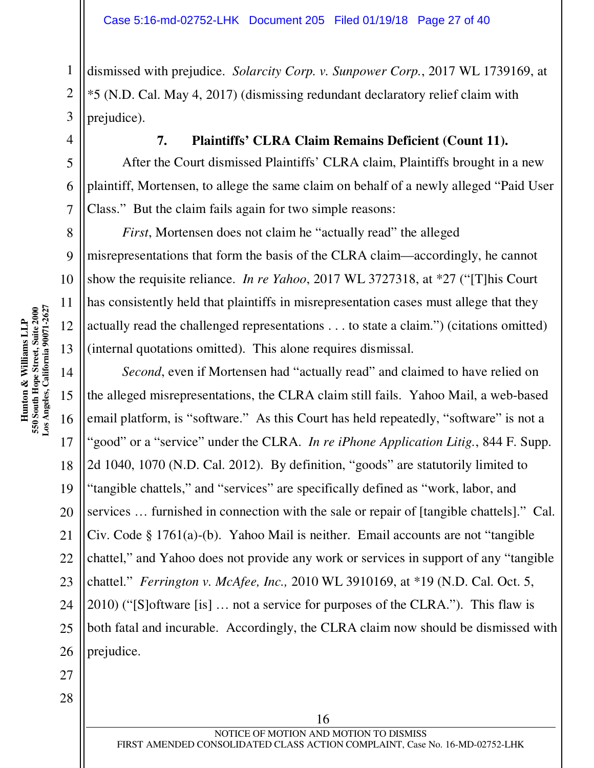dismissed with prejudice. *Solarcity Corp. v. Sunpower Corp.*, 2017 WL 1739169, at \*5 (N.D. Cal. May 4, 2017) (dismissing redundant declaratory relief claim with prejudice).

**7. Plaintiffs' CLRA Claim Remains Deficient (Count 11).** 

After the Court dismissed Plaintiffs' CLRA claim, Plaintiffs brought in a new plaintiff, Mortensen, to allege the same claim on behalf of a newly alleged "Paid User Class." But the claim fails again for two simple reasons:

*First*, Mortensen does not claim he "actually read" the alleged misrepresentations that form the basis of the CLRA claim—accordingly, he cannot show the requisite reliance. *In re Yahoo*, 2017 WL 3727318, at \*27 ("[T]his Court has consistently held that plaintiffs in misrepresentation cases must allege that they actually read the challenged representations . . . to state a claim.") (citations omitted) (internal quotations omitted). This alone requires dismissal.

14 19 20 *Second*, even if Mortensen had "actually read" and claimed to have relied on the alleged misrepresentations, the CLRA claim still fails. Yahoo Mail, a web-based email platform, is "software." As this Court has held repeatedly, "software" is not a "good" or a "service" under the CLRA. *In re iPhone Application Litig.*, 844 F. Supp. 2d 1040, 1070 (N.D. Cal. 2012). By definition, "goods" are statutorily limited to "tangible chattels," and "services" are specifically defined as "work, labor, and services … furnished in connection with the sale or repair of [tangible chattels]." Cal. Civ. Code § 1761(a)-(b). Yahoo Mail is neither. Email accounts are not "tangible chattel," and Yahoo does not provide any work or services in support of any "tangible chattel." *Ferrington v. McAfee, Inc.,* 2010 WL 3910169, at \*19 (N.D. Cal. Oct. 5, 2010) ("[S]oftware [is] … not a service for purposes of the CLRA."). This flaw is both fatal and incurable. Accordingly, the CLRA claim now should be dismissed with prejudice.

1

2

3

4

5

6

7

8

9

10

11

12

13

15

16

17

18

21

22

28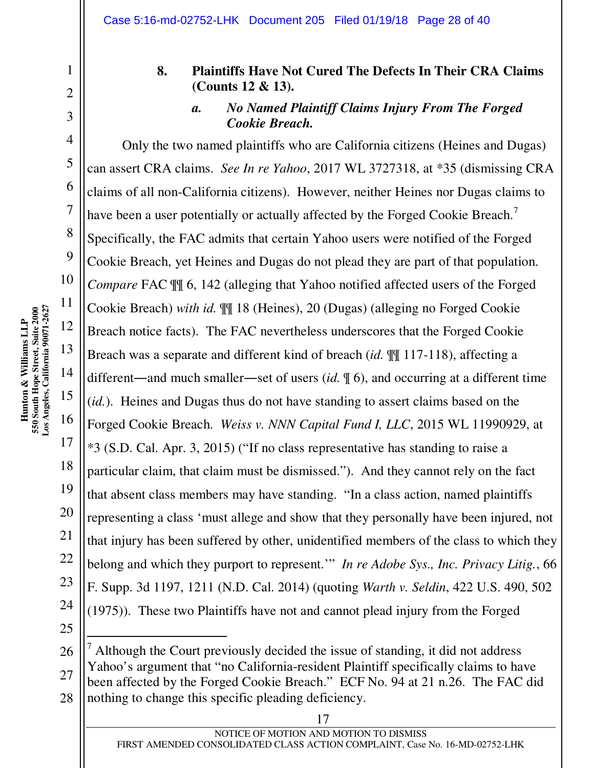#### **8. Plaintiffs Have Not Cured The Defects In Their CRA Claims (Counts 12 & 13).**

#### *a. No Named Plaintiff Claims Injury From The Forged Cookie Breach.*

Only the two named plaintiffs who are California citizens (Heines and Dugas) can assert CRA claims. *See In re Yahoo*, 2017 WL 3727318, at \*35 (dismissing CRA claims of all non-California citizens). However, neither Heines nor Dugas claims to have been a user potentially or actually affected by the Forged Cookie Breach.<sup>7</sup> Specifically, the FAC admits that certain Yahoo users were notified of the Forged Cookie Breach, yet Heines and Dugas do not plead they are part of that population. *Compare* FAC  $\mathbb{I}$  6, 142 (alleging that Yahoo notified affected users of the Forged Cookie Breach) *with id.* ¶¶ 18 (Heines), 20 (Dugas) (alleging no Forged Cookie Breach notice facts). The FAC nevertheless underscores that the Forged Cookie Breach was a separate and different kind of breach (*id.* ¶¶ 117-118), affecting a different―and much smaller―set of users (*id.* ¶ 6), and occurring at a different time (*id.*). Heines and Dugas thus do not have standing to assert claims based on the Forged Cookie Breach. *Weiss v. NNN Capital Fund I, LLC*, 2015 WL 11990929, at \*3 (S.D. Cal. Apr. 3, 2015) ("If no class representative has standing to raise a particular claim, that claim must be dismissed."). And they cannot rely on the fact that absent class members may have standing. "In a class action, named plaintiffs representing a class 'must allege and show that they personally have been injured, not that injury has been suffered by other, unidentified members of the class to which they belong and which they purport to represent.'" *In re Adobe Sys., Inc. Privacy Litig.*, 66 F. Supp. 3d 1197, 1211 (N.D. Cal. 2014) (quoting *Warth v. Seldin*, 422 U.S. 490, 502 (1975)). These two Plaintiffs have not and cannot plead injury from the Forged

- $<sup>7</sup>$  Although the Court previously decided the issue of standing, it did not address</sup> Yahoo's argument that "no California-resident Plaintiff specifically claims to have been affected by the Forged Cookie Breach." ECF No. 94 at 21 n.26. The FAC did nothing to change this specific pleading deficiency.

1

2

3

4

5

6

7

8

9

10

11

12

13

14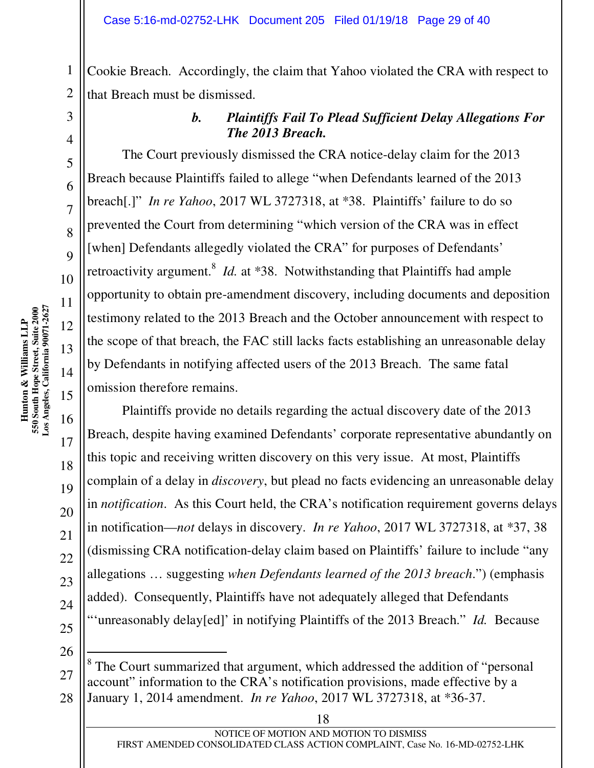Cookie Breach. Accordingly, the claim that Yahoo violated the CRA with respect to that Breach must be dismissed.

1

2

3

4

5

6

7

8

9

10

11

12

13

14

15

16

#### *b. Plaintiffs Fail To Plead Sufficient Delay Allegations For The 2013 Breach.*

The Court previously dismissed the CRA notice-delay claim for the 2013 Breach because Plaintiffs failed to allege "when Defendants learned of the 2013 breach[.]" *In re Yahoo*, 2017 WL 3727318, at \*38. Plaintiffs' failure to do so prevented the Court from determining "which version of the CRA was in effect [when] Defendants allegedly violated the CRA" for purposes of Defendants' retroactivity argument.<sup>8</sup> *Id.* at \*38. Notwithstanding that Plaintiffs had ample opportunity to obtain pre-amendment discovery, including documents and deposition testimony related to the 2013 Breach and the October announcement with respect to the scope of that breach, the FAC still lacks facts establishing an unreasonable delay by Defendants in notifying affected users of the 2013 Breach. The same fatal omission therefore remains.

Plaintiffs provide no details regarding the actual discovery date of the 2013 Breach, despite having examined Defendants' corporate representative abundantly on this topic and receiving written discovery on this very issue. At most, Plaintiffs complain of a delay in *discovery*, but plead no facts evidencing an unreasonable delay in *notification*. As this Court held, the CRA's notification requirement governs delays in notification—*not* delays in discovery. *In re Yahoo*, 2017 WL 3727318, at \*37, 38 (dismissing CRA notification-delay claim based on Plaintiffs' failure to include "any allegations … suggesting *when Defendants learned of the 2013 breach*.") (emphasis added). Consequently, Plaintiffs have not adequately alleged that Defendants "'unreasonably delay[ed]' in notifying Plaintiffs of the 2013 Breach." *Id.* Because

 $\overline{a}$ 

<sup>&</sup>lt;sup>8</sup> The Court summarized that argument, which addressed the addition of "personal" account" information to the CRA's notification provisions, made effective by a January 1, 2014 amendment. *In re Yahoo*, 2017 WL 3727318, at \*36-37.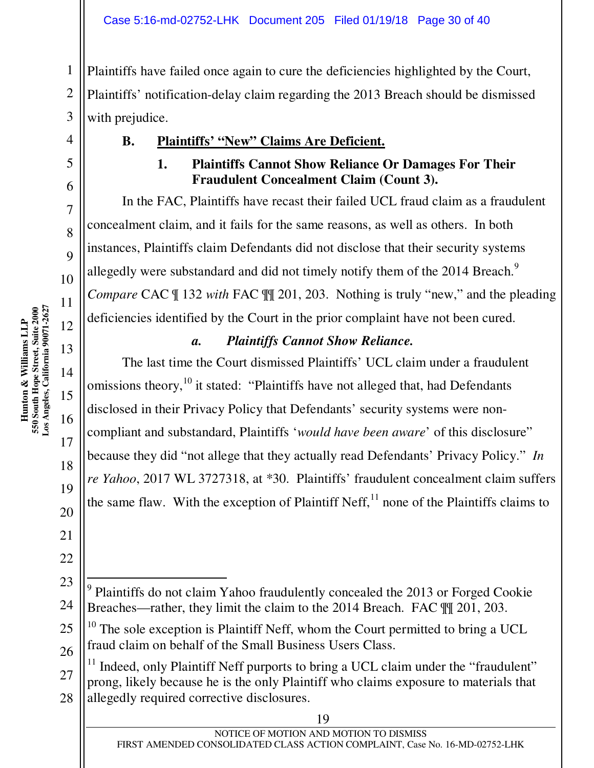Plaintiffs have failed once again to cure the deficiencies highlighted by the Court, Plaintiffs' notification-delay claim regarding the 2013 Breach should be dismissed with prejudice.

**B. Plaintiffs' "New" Claims Are Deficient.** 

#### **1. Plaintiffs Cannot Show Reliance Or Damages For Their Fraudulent Concealment Claim (Count 3).**

In the FAC, Plaintiffs have recast their failed UCL fraud claim as a fraudulent concealment claim, and it fails for the same reasons, as well as others. In both instances, Plaintiffs claim Defendants did not disclose that their security systems allegedly were substandard and did not timely notify them of the  $2014$  Breach.<sup>9</sup> *Compare* CAC  $\parallel$  132 *with* FAC  $\parallel$  201, 203. Nothing is truly "new," and the pleading deficiencies identified by the Court in the prior complaint have not been cured.

#### *a. Plaintiffs Cannot Show Reliance.*

The last time the Court dismissed Plaintiffs' UCL claim under a fraudulent omissions theory, <sup>10</sup> it stated: "Plaintiffs have not alleged that, had Defendants disclosed in their Privacy Policy that Defendants' security systems were noncompliant and substandard, Plaintiffs '*would have been aware*' of this disclosure" because they did "not allege that they actually read Defendants' Privacy Policy." *In re Yahoo*, 2017 WL 3727318, at \*30. Plaintiffs' fraudulent concealment claim suffers the same flaw. With the exception of Plaintiff Neff,  $^{11}$  none of the Plaintiffs claims to

1

2

3

4

5

6

7

8

 $\overline{Q}$ 

10

11

12

13

14

15

 $\overline{a}$ <sup>9</sup> Plaintiffs do not claim Yahoo fraudulently concealed the 2013 or Forged Cookie Breaches—rather, they limit the claim to the 2014 Breach. FAC ¶¶ 201, 203.

<sup>&</sup>lt;sup>10</sup> The sole exception is Plaintiff Neff, whom the Court permitted to bring a UCL fraud claim on behalf of the Small Business Users Class.

 $11$  Indeed, only Plaintiff Neff purports to bring a UCL claim under the "fraudulent" prong, likely because he is the only Plaintiff who claims exposure to materials that allegedly required corrective disclosures.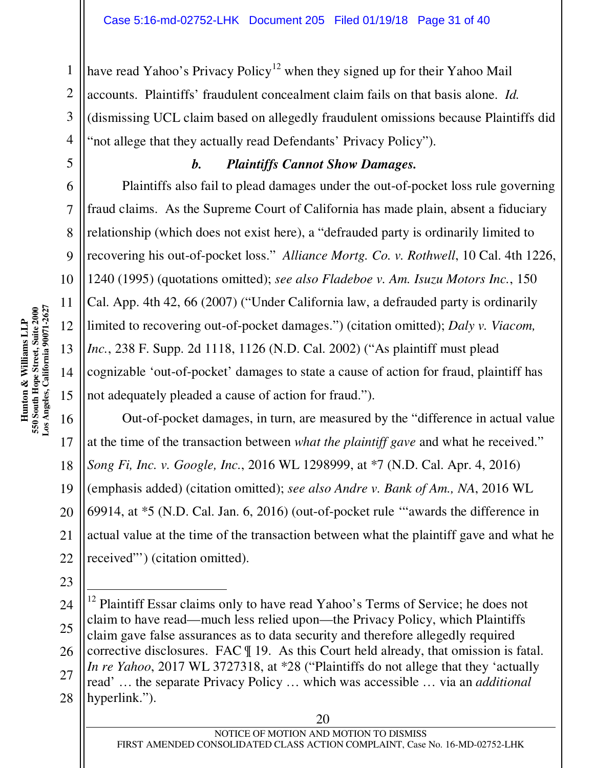have read Yahoo's Privacy Policy<sup>12</sup> when they signed up for their Yahoo Mail accounts. Plaintiffs' fraudulent concealment claim fails on that basis alone. *Id.* (dismissing UCL claim based on allegedly fraudulent omissions because Plaintiffs did "not allege that they actually read Defendants' Privacy Policy").

#### *b. Plaintiffs Cannot Show Damages.*

Plaintiffs also fail to plead damages under the out-of-pocket loss rule governing fraud claims. As the Supreme Court of California has made plain, absent a fiduciary relationship (which does not exist here), a "defrauded party is ordinarily limited to recovering his out-of-pocket loss." *Alliance Mortg. Co. v. Rothwell*, 10 Cal. 4th 1226, 1240 (1995) (quotations omitted); *see also Fladeboe v. Am. Isuzu Motors Inc.*, 150 Cal. App. 4th 42, 66 (2007) ("Under California law, a defrauded party is ordinarily limited to recovering out-of-pocket damages.") (citation omitted); *Daly v. Viacom, Inc.*, 238 F. Supp. 2d 1118, 1126 (N.D. Cal. 2002) ("As plaintiff must plead cognizable 'out-of-pocket' damages to state a cause of action for fraud, plaintiff has not adequately pleaded a cause of action for fraud.").

16 17 18 19 20 21 22 Out-of-pocket damages, in turn, are measured by the "difference in actual value at the time of the transaction between *what the plaintiff gave* and what he received." *Song Fi, Inc. v. Google, Inc.*, 2016 WL 1298999, at \*7 (N.D. Cal. Apr. 4, 2016) (emphasis added) (citation omitted); *see also Andre v. Bank of Am., NA*, 2016 WL 69914, at \*5 (N.D. Cal. Jan. 6, 2016) (out-of-pocket rule '"awards the difference in actual value at the time of the transaction between what the plaintiff gave and what he received"') (citation omitted).

1

2

3

4

5

6

7

8

9

10

11

12

13

14

15

```
20
```
<sup>24</sup> 25 26 27 28 - $12$  Plaintiff Essar claims only to have read Yahoo's Terms of Service; he does not claim to have read—much less relied upon—the Privacy Policy, which Plaintiffs claim gave false assurances as to data security and therefore allegedly required corrective disclosures. FAC ¶ 19. As this Court held already, that omission is fatal. *In re Yahoo*, 2017 WL 3727318, at \*28 ("Plaintiffs do not allege that they 'actually read' … the separate Privacy Policy … which was accessible … via an *additional*  hyperlink.").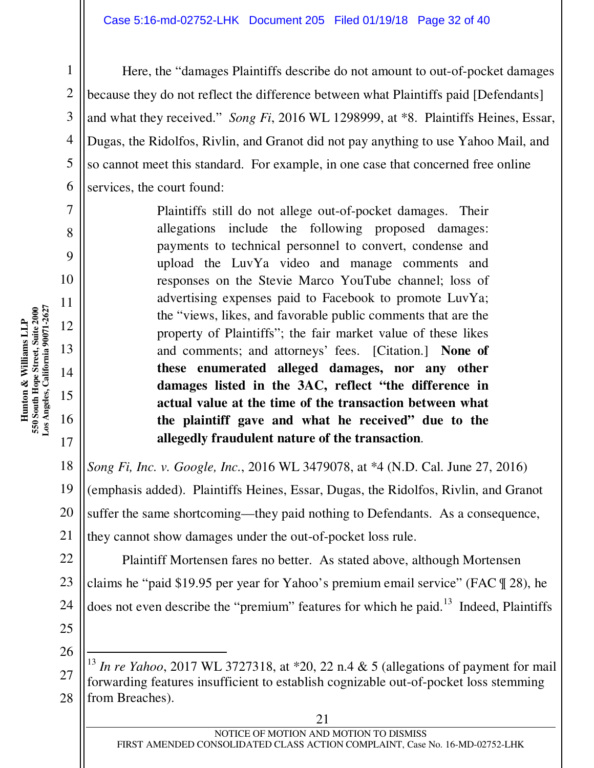Here, the "damages Plaintiffs describe do not amount to out-of-pocket damages because they do not reflect the difference between what Plaintiffs paid [Defendants] and what they received." *Song Fi*, 2016 WL 1298999, at \*8. Plaintiffs Heines, Essar, Dugas, the Ridolfos, Rivlin, and Granot did not pay anything to use Yahoo Mail, and so cannot meet this standard. For example, in one case that concerned free online services, the court found:

> Plaintiffs still do not allege out-of-pocket damages. Their allegations include the following proposed damages: payments to technical personnel to convert, condense and upload the LuvYa video and manage comments and responses on the Stevie Marco YouTube channel; loss of advertising expenses paid to Facebook to promote LuvYa; the "views, likes, and favorable public comments that are the property of Plaintiffs"; the fair market value of these likes and comments; and attorneys' fees. [Citation.] **None of these enumerated alleged damages, nor any other damages listed in the 3AC, reflect "the difference in actual value at the time of the transaction between what the plaintiff gave and what he received" due to the allegedly fraudulent nature of the transaction**.

18 19 20 21 *Song Fi, Inc. v. Google, Inc.*, 2016 WL 3479078, at \*4 (N.D. Cal. June 27, 2016) (emphasis added). Plaintiffs Heines, Essar, Dugas, the Ridolfos, Rivlin, and Granot suffer the same shortcoming—they paid nothing to Defendants. As a consequence, they cannot show damages under the out-of-pocket loss rule.

22 23 Plaintiff Mortensen fares no better. As stated above, although Mortensen claims he "paid \$19.95 per year for Yahoo's premium email service" (FAC ¶ 28), he does not even describe the "premium" features for which he paid. $13$  Indeed, Plaintiffs

24 25 26

-

1

2

3

4

5

6

7

8

9

10

11

12

13

14

15

16

<sup>27</sup> 28 <sup>13</sup> *In re Yahoo*, 2017 WL 3727318, at \*20, 22 n.4 & 5 (allegations of payment for mail forwarding features insufficient to establish cognizable out-of-pocket loss stemming from Breaches).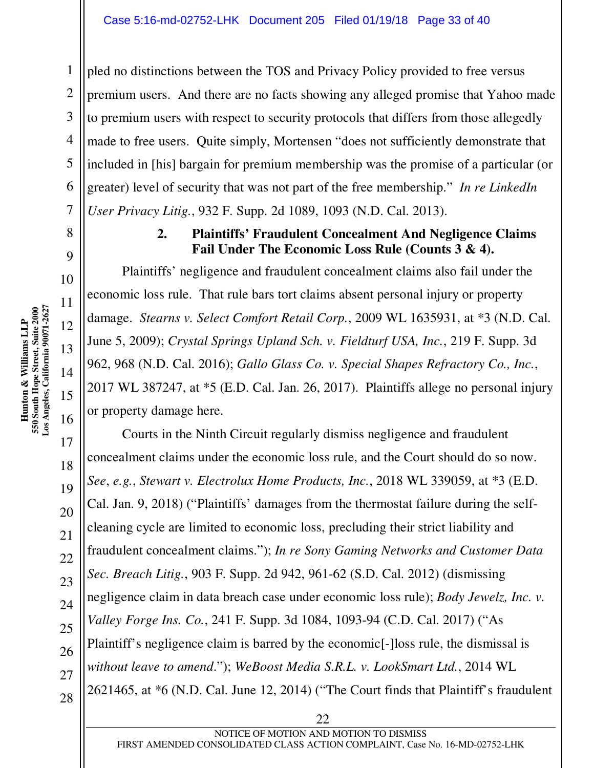pled no distinctions between the TOS and Privacy Policy provided to free versus premium users. And there are no facts showing any alleged promise that Yahoo made to premium users with respect to security protocols that differs from those allegedly made to free users. Quite simply, Mortensen "does not sufficiently demonstrate that included in [his] bargain for premium membership was the promise of a particular (or greater) level of security that was not part of the free membership." *In re LinkedIn User Privacy Litig.*, 932 F. Supp. 2d 1089, 1093 (N.D. Cal. 2013).

#### **2. Plaintiffs' Fraudulent Concealment And Negligence Claims Fail Under The Economic Loss Rule (Counts 3 & 4).**

Plaintiffs' negligence and fraudulent concealment claims also fail under the economic loss rule. That rule bars tort claims absent personal injury or property damage. *Stearns v. Select Comfort Retail Corp.*, 2009 WL 1635931, at \*3 (N.D. Cal. June 5, 2009); *Crystal Springs Upland Sch. v. Fieldturf USA, Inc.*, 219 F. Supp. 3d 962, 968 (N.D. Cal. 2016); *Gallo Glass Co. v. Special Shapes Refractory Co., Inc.*, 2017 WL 387247, at \*5 (E.D. Cal. Jan. 26, 2017). Plaintiffs allege no personal injury or property damage here.

Courts in the Ninth Circuit regularly dismiss negligence and fraudulent concealment claims under the economic loss rule, and the Court should do so now. *See*, *e.g.*, *Stewart v. Electrolux Home Products, Inc.*, 2018 WL 339059, at \*3 (E.D. Cal. Jan. 9, 2018) ("Plaintiffs' damages from the thermostat failure during the selfcleaning cycle are limited to economic loss, precluding their strict liability and fraudulent concealment claims."); *In re Sony Gaming Networks and Customer Data Sec. Breach Litig.*, 903 F. Supp. 2d 942, 961-62 (S.D. Cal. 2012) (dismissing negligence claim in data breach case under economic loss rule); *Body Jewelz, Inc. v. Valley Forge Ins. Co.*, 241 F. Supp. 3d 1084, 1093-94 (C.D. Cal. 2017) ("As Plaintiff's negligence claim is barred by the economic[-]loss rule, the dismissal is *without leave to amend*."); *WeBoost Media S.R.L. v. LookSmart Ltd.*, 2014 WL 2621465, at \*6 (N.D. Cal. June 12, 2014) ("The Court finds that Plaintiff's fraudulent

1

2

3

4

5

6

7

8

9

10

11

12

13

14

15

16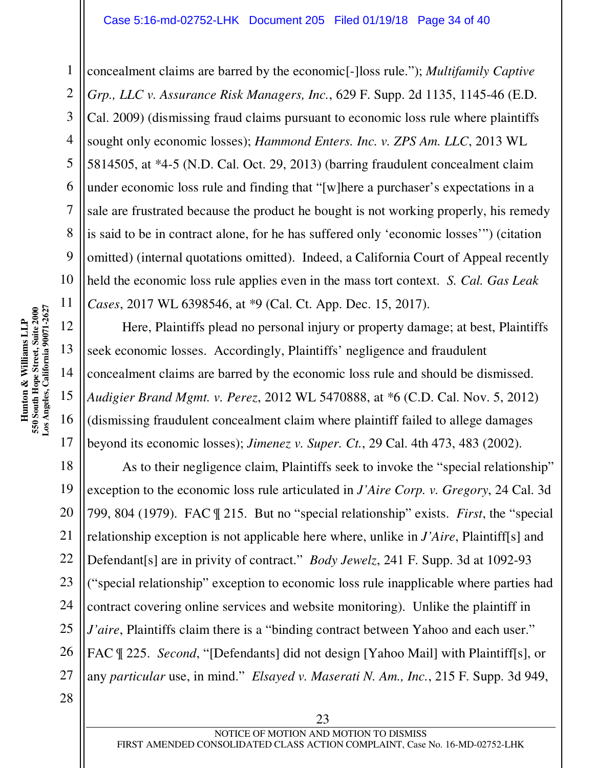concealment claims are barred by the economic[-]loss rule."); *Multifamily Captive Grp., LLC v. Assurance Risk Managers, Inc.*, 629 F. Supp. 2d 1135, 1145-46 (E.D. Cal. 2009) (dismissing fraud claims pursuant to economic loss rule where plaintiffs sought only economic losses); *Hammond Enters. Inc. v. ZPS Am. LLC*, 2013 WL 5814505, at \*4-5 (N.D. Cal. Oct. 29, 2013) (barring fraudulent concealment claim under economic loss rule and finding that "[w]here a purchaser's expectations in a sale are frustrated because the product he bought is not working properly, his remedy is said to be in contract alone, for he has suffered only 'economic losses'") (citation omitted) (internal quotations omitted). Indeed, a California Court of Appeal recently held the economic loss rule applies even in the mass tort context. *S. Cal. Gas Leak Cases*, 2017 WL 6398546, at \*9 (Cal. Ct. App. Dec. 15, 2017).

Here, Plaintiffs plead no personal injury or property damage; at best, Plaintiffs seek economic losses. Accordingly, Plaintiffs' negligence and fraudulent concealment claims are barred by the economic loss rule and should be dismissed. *Audigier Brand Mgmt. v. Perez*, 2012 WL 5470888, at \*6 (C.D. Cal. Nov. 5, 2012) (dismissing fraudulent concealment claim where plaintiff failed to allege damages beyond its economic losses); *Jimenez v. Super. Ct.*, 29 Cal. 4th 473, 483 (2002).

18 19 20 21 22 23 24 25 As to their negligence claim, Plaintiffs seek to invoke the "special relationship" exception to the economic loss rule articulated in *J'Aire Corp. v. Gregory*, 24 Cal. 3d 799, 804 (1979). FAC ¶ 215. But no "special relationship" exists. *First*, the "special relationship exception is not applicable here where, unlike in *J'Aire*, Plaintiff[s] and Defendant[s] are in privity of contract." *Body Jewelz*, 241 F. Supp. 3d at 1092-93 ("special relationship" exception to economic loss rule inapplicable where parties had contract covering online services and website monitoring). Unlike the plaintiff in *J'aire*, Plaintiffs claim there is a "binding contract between Yahoo and each user." FAC ¶ 225. *Second*, "[Defendants] did not design [Yahoo Mail] with Plaintiff[s], or any *particular* use, in mind." *Elsayed v. Maserati N. Am., Inc.*, 215 F. Supp. 3d 949,

1

2

3

4

5

6

7

8

9

10

11

12

13

14

15

16

17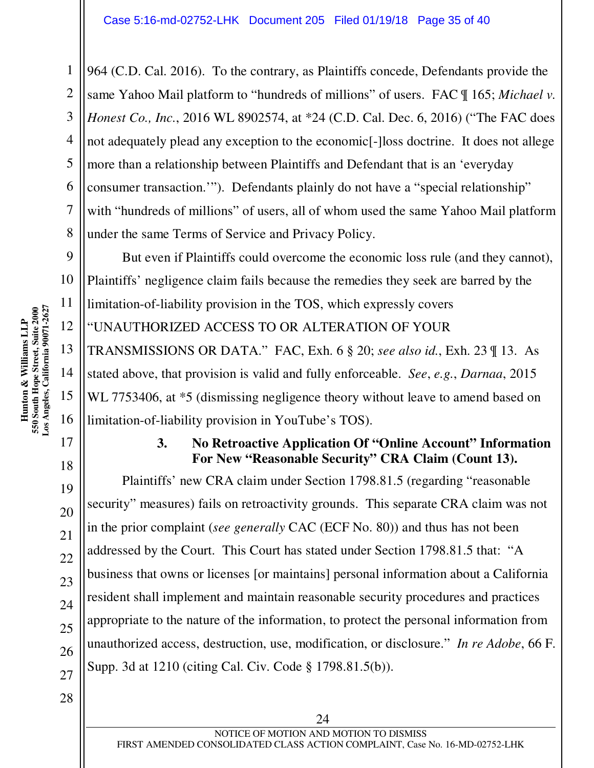964 (C.D. Cal. 2016). To the contrary, as Plaintiffs concede, Defendants provide the same Yahoo Mail platform to "hundreds of millions" of users. FAC ¶ 165; *Michael v. Honest Co., Inc.*, 2016 WL 8902574, at \*24 (C.D. Cal. Dec. 6, 2016) ("The FAC does not adequately plead any exception to the economic[-]loss doctrine. It does not allege more than a relationship between Plaintiffs and Defendant that is an 'everyday consumer transaction.'"). Defendants plainly do not have a "special relationship" with "hundreds of millions" of users, all of whom used the same Yahoo Mail platform under the same Terms of Service and Privacy Policy.

But even if Plaintiffs could overcome the economic loss rule (and they cannot), Plaintiffs' negligence claim fails because the remedies they seek are barred by the limitation-of-liability provision in the TOS, which expressly covers "UNAUTHORIZED ACCESS TO OR ALTERATION OF YOUR TRANSMISSIONS OR DATA." FAC, Exh. 6 § 20; *see also id.*, Exh. 23 ¶ 13. As stated above, that provision is valid and fully enforceable. *See*, *e.g.*, *Darnaa*, 2015 WL 7753406, at  $*5$  (dismissing negligence theory without leave to amend based on limitation-of-liability provision in YouTube's TOS).

#### **3. No Retroactive Application Of "Online Account" Information For New "Reasonable Security" CRA Claim (Count 13).**

Plaintiffs' new CRA claim under Section 1798.81.5 (regarding "reasonable security" measures) fails on retroactivity grounds. This separate CRA claim was not in the prior complaint (*see generally* CAC (ECF No. 80)) and thus has not been addressed by the Court. This Court has stated under Section 1798.81.5 that: "A business that owns or licenses [or maintains] personal information about a California resident shall implement and maintain reasonable security procedures and practices appropriate to the nature of the information, to protect the personal information from unauthorized access, destruction, use, modification, or disclosure." *In re Adobe*, 66 F. Supp. 3d at 1210 (citing Cal. Civ. Code § 1798.81.5(b)).

**Los Angeles, California 90071-2627**  Hunton & Williams LLP<br>550 South Hope Street, Suite 2000<br>Los Angeles, California 90071-2627 **550 South Hope Street, Suite 2000 Hunton & Williams LLP** 

1

2

3

4

5

6

7

8

9

10

11

12

13

14

15

16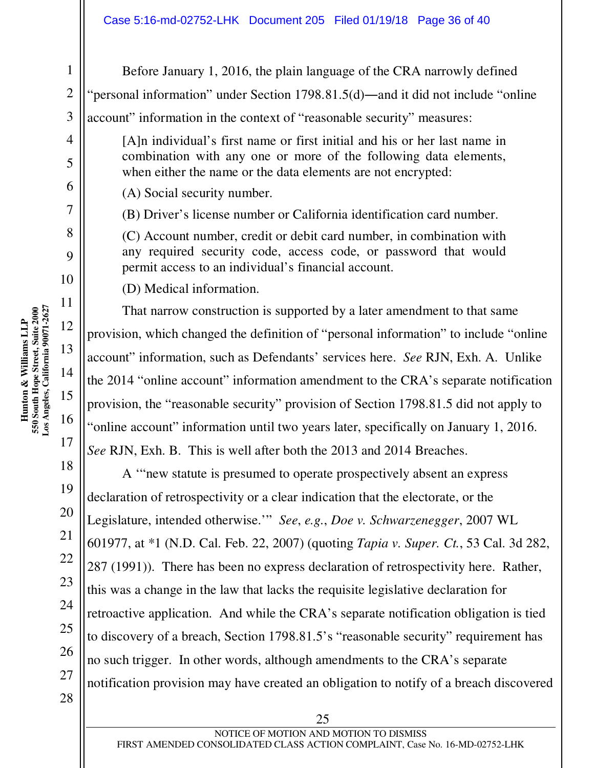Before January 1, 2016, the plain language of the CRA narrowly defined "personal information" under Section 1798.81.5(d)―and it did not include "online account" information in the context of "reasonable security" measures:

[A]n individual's first name or first initial and his or her last name in combination with any one or more of the following data elements, when either the name or the data elements are not encrypted:

(A) Social security number.

(B) Driver's license number or California identification card number.

(C) Account number, credit or debit card number, in combination with any required security code, access code, or password that would permit access to an individual's financial account.

(D) Medical information.

That narrow construction is supported by a later amendment to that same provision, which changed the definition of "personal information" to include "online account" information, such as Defendants' services here. *See* RJN, Exh. A. Unlike the 2014 "online account" information amendment to the CRA's separate notification provision, the "reasonable security" provision of Section 1798.81.5 did not apply to "online account" information until two years later, specifically on January 1, 2016. *See* RJN, Exh. B. This is well after both the 2013 and 2014 Breaches.

A '"new statute is presumed to operate prospectively absent an express declaration of retrospectivity or a clear indication that the electorate, or the Legislature, intended otherwise.'" *See*, *e.g.*, *Doe v. Schwarzenegger*, 2007 WL 601977, at \*1 (N.D. Cal. Feb. 22, 2007) (quoting *Tapia v. Super. Ct.*, 53 Cal. 3d 282, 287 (1991)). There has been no express declaration of retrospectivity here. Rather, this was a change in the law that lacks the requisite legislative declaration for retroactive application. And while the CRA's separate notification obligation is tied to discovery of a breach, Section 1798.81.5's "reasonable security" requirement has no such trigger. In other words, although amendments to the CRA's separate notification provision may have created an obligation to notify of a breach discovered

1

2

3

4

5

6

7

8

9

10

11

12

13

14

15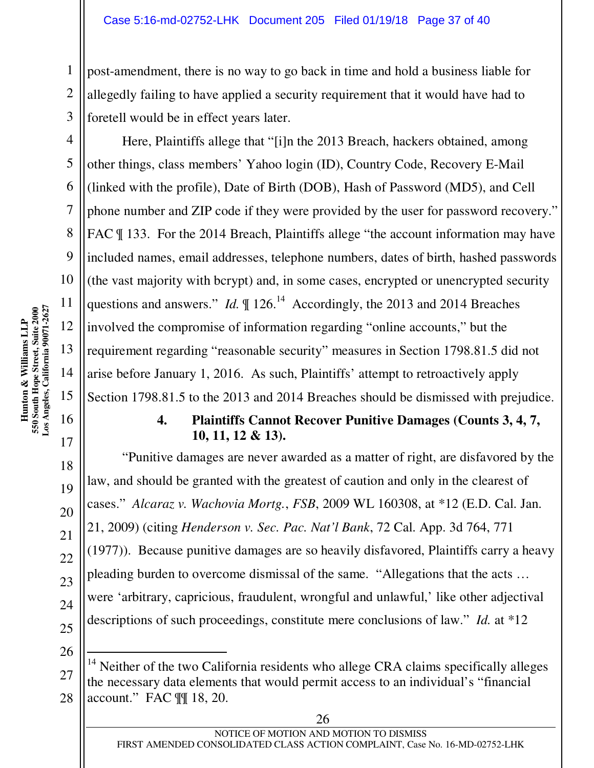post-amendment, there is no way to go back in time and hold a business liable for allegedly failing to have applied a security requirement that it would have had to foretell would be in effect years later.

Here, Plaintiffs allege that "[i]n the 2013 Breach, hackers obtained, among other things, class members' Yahoo login (ID), Country Code, Recovery E-Mail (linked with the profile), Date of Birth (DOB), Hash of Password (MD5), and Cell phone number and ZIP code if they were provided by the user for password recovery." FAC  $\parallel$  133. For the 2014 Breach, Plaintiffs allege "the account information may have included names, email addresses, telephone numbers, dates of birth, hashed passwords (the vast majority with bcrypt) and, in some cases, encrypted or unencrypted security questions and answers." *Id.*  $\parallel$  126.<sup>14</sup> Accordingly, the 2013 and 2014 Breaches involved the compromise of information regarding "online accounts," but the requirement regarding "reasonable security" measures in Section 1798.81.5 did not arise before January 1, 2016. As such, Plaintiffs' attempt to retroactively apply Section 1798.81.5 to the 2013 and 2014 Breaches should be dismissed with prejudice.

#### **4. Plaintiffs Cannot Recover Punitive Damages (Counts 3, 4, 7, 10, 11, 12 & 13).**

"Punitive damages are never awarded as a matter of right, are disfavored by the law, and should be granted with the greatest of caution and only in the clearest of cases." *Alcaraz v. Wachovia Mortg.*, *FSB*, 2009 WL 160308, at \*12 (E.D. Cal. Jan. 21, 2009) (citing *Henderson v. Sec. Pac. Nat'l Bank*, 72 Cal. App. 3d 764, 771 (1977)). Because punitive damages are so heavily disfavored, Plaintiffs carry a heavy pleading burden to overcome dismissal of the same. "Allegations that the acts … were 'arbitrary, capricious, fraudulent, wrongful and unlawful,' like other adjectival descriptions of such proceedings, constitute mere conclusions of law." *Id.* at \*12

1

2

3

4

5

6

7

8

9

<sup>-</sup> $14$  Neither of the two California residents who allege CRA claims specifically alleges the necessary data elements that would permit access to an individual's "financial account." FAC ¶¶ 18, 20.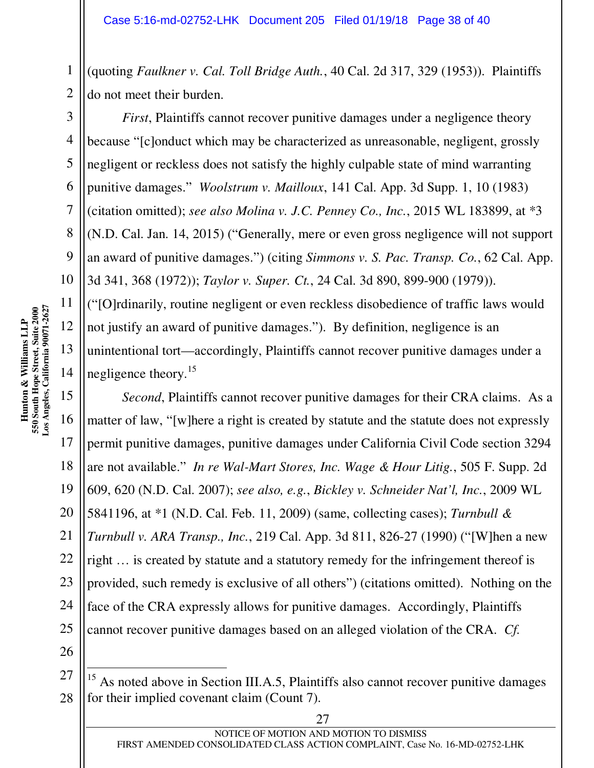(quoting *Faulkner v. Cal. Toll Bridge Auth.*, 40 Cal. 2d 317, 329 (1953)). Plaintiffs do not meet their burden.

*First*, Plaintiffs cannot recover punitive damages under a negligence theory because "[c]onduct which may be characterized as unreasonable, negligent, grossly negligent or reckless does not satisfy the highly culpable state of mind warranting punitive damages." *Woolstrum v. Mailloux*, 141 Cal. App. 3d Supp. 1, 10 (1983) (citation omitted); *see also Molina v. J.C. Penney Co., Inc.*, 2015 WL 183899, at \*3 (N.D. Cal. Jan. 14, 2015) ("Generally, mere or even gross negligence will not support an award of punitive damages.") (citing *Simmons v. S. Pac. Transp. Co.*, 62 Cal. App. 3d 341, 368 (1972)); *Taylor v. Super. Ct.*, 24 Cal. 3d 890, 899-900 (1979)).

("[O]rdinarily, routine negligent or even reckless disobedience of traffic laws would not justify an award of punitive damages."). By definition, negligence is an unintentional tort—accordingly, Plaintiffs cannot recover punitive damages under a negligence theory.<sup>15</sup>

15 16 18 19 20 *Second*, Plaintiffs cannot recover punitive damages for their CRA claims. As a matter of law, "[w]here a right is created by statute and the statute does not expressly permit punitive damages, punitive damages under California Civil Code section 3294 are not available." *In re Wal-Mart Stores, Inc. Wage & Hour Litig.*, 505 F. Supp. 2d 609, 620 (N.D. Cal. 2007); *see also, e.g.*, *Bickley v. Schneider Nat'l, Inc.*, 2009 WL 5841196, at \*1 (N.D. Cal. Feb. 11, 2009) (same, collecting cases); *Turnbull & Turnbull v. ARA Transp., Inc.*, 219 Cal. App. 3d 811, 826-27 (1990) ("[W]hen a new right … is created by statute and a statutory remedy for the infringement thereof is provided, such remedy is exclusive of all others") (citations omitted). Nothing on the face of the CRA expressly allows for punitive damages. Accordingly, Plaintiffs cannot recover punitive damages based on an alleged violation of the CRA. *Cf.* 

 $\overline{a}$ 

1

2

3

4

5

6

7

8

9

10

12

13

14

17

 $15$  As noted above in Section III.A.5, Plaintiffs also cannot recover punitive damages for their implied covenant claim (Count 7).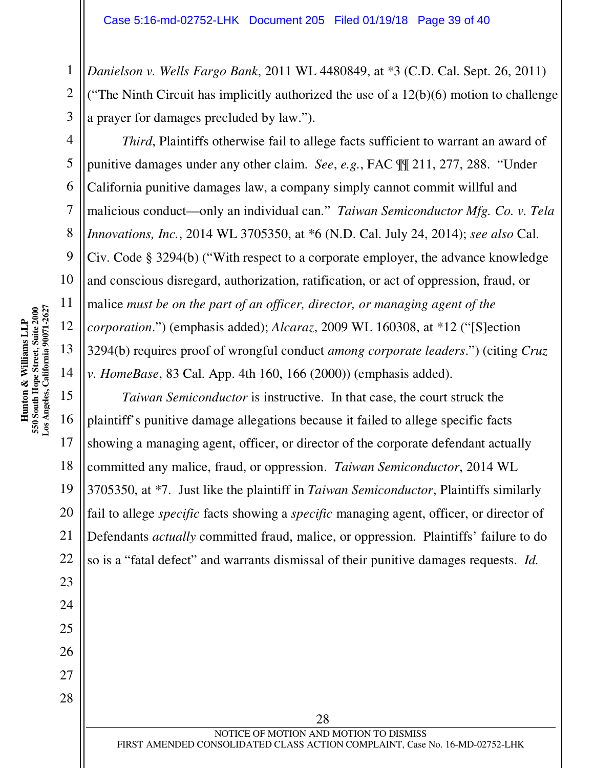*Danielson v. Wells Fargo Bank*, 2011 WL 4480849, at \*3 (C.D. Cal. Sept. 26, 2011) ("The Ninth Circuit has implicitly authorized the use of a  $12(b)(6)$  motion to challenge a prayer for damages precluded by law.").

*Third*, Plaintiffs otherwise fail to allege facts sufficient to warrant an award of punitive damages under any other claim. *See*, *e.g.*, FAC ¶¶ 211, 277, 288. "Under California punitive damages law, a company simply cannot commit willful and malicious conduct—only an individual can." *Taiwan Semiconductor Mfg. Co. v. Tela Innovations, Inc.*, 2014 WL 3705350, at \*6 (N.D. Cal. July 24, 2014); *see also* Cal. Civ. Code § 3294(b) ("With respect to a corporate employer, the advance knowledge and conscious disregard, authorization, ratification, or act of oppression, fraud, or malice *must be on the part of an officer, director, or managing agent of the corporation*.") (emphasis added); *Alcaraz*, 2009 WL 160308, at \*12 ("[S]ection 3294(b) requires proof of wrongful conduct *among corporate leaders*.") (citing *Cruz v. HomeBase*, 83 Cal. App. 4th 160, 166 (2000)) (emphasis added).

*Taiwan Semiconductor* is instructive. In that case, the court struck the plaintiff's punitive damage allegations because it failed to allege specific facts showing a managing agent, officer, or director of the corporate defendant actually committed any malice, fraud, or oppression. *Taiwan Semiconductor*, 2014 WL 3705350, at \*7. Just like the plaintiff in *Taiwan Semiconductor*, Plaintiffs similarly fail to allege *specific* facts showing a *specific* managing agent, officer, or director of Defendants *actually* committed fraud, malice, or oppression. Plaintiffs' failure to do so is a "fatal defect" and warrants dismissal of their punitive damages requests. *Id.* 

28

1

2

3

4

5

6

7

8

9

10

11

12

13

14

15

16

17

18

19

20

21

22

23

24

25

26

27